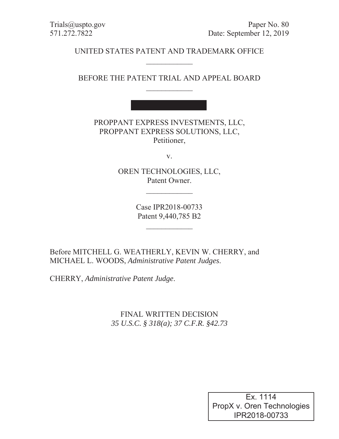Trials@uspto.gov Paper No. 80 571.272.7822 Date: September 12, 2019

# UNITED STATES PATENT AND TRADEMARK OFFICE  $\frac{1}{2}$

BEFORE THE PATENT TRIAL AND APPEAL BOARD  $\frac{1}{2}$ 



v.

OREN TECHNOLOGIES, LLC, Patent Owner.

 $\frac{1}{2}$ 

Case IPR2018-00733 Patent 9,440,785 B2

Before MITCHELL G. WEATHERLY, KEVIN W. CHERRY, and MICHAEL L. WOODS, *Administrative Patent Judges*.

CHERRY, *Administrative Patent Judge*.

FINAL WRITTEN DECISION *35 U.S.C. § 318(a); 37 C.F.R. §42.73*

> Ex. 1114 PropX v. Oren Technologies IPR2018-00733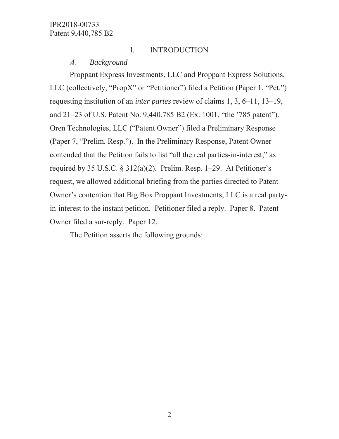# I. INTRODUCTION

#### А. *Background*

Proppant Express Investments, LLC and Proppant Express Solutions, LLC (collectively, "PropX" or "Petitioner") filed a Petition (Paper 1, "Pet.") requesting institution of an *inter partes* review of claims 1, 3, 6–11, 13–19, and 21–23 of U.S. Patent No. 9,440,785 B2 (Ex. 1001, "the '785 patent"). Oren Technologies, LLC ("Patent Owner") filed a Preliminary Response (Paper 7, "Prelim. Resp."). In the Preliminary Response, Patent Owner contended that the Petition fails to list "all the real parties-in-interest," as required by 35 U.S.C. § 312(a)(2). Prelim. Resp. 1–29. At Petitioner's request, we allowed additional briefing from the parties directed to Patent Owner's contention that Big Box Proppant Investments, LLC is a real partyin-interest to the instant petition. Petitioner filed a reply. Paper 8. Patent Owner filed a sur-reply. Paper 12.

The Petition asserts the following grounds: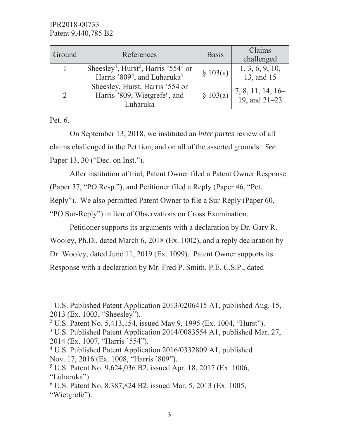| Ground         | References                                                                                                                       | <b>Basis</b> | Claims<br>challenged               |
|----------------|----------------------------------------------------------------------------------------------------------------------------------|--------------|------------------------------------|
| $\overline{1}$ | Sheesley <sup>1</sup> , Hurst <sup>2</sup> , Harris '554 <sup>3</sup> or<br>Harris '809 <sup>4</sup> , and Luharuka <sup>5</sup> | \$103(a)     | 1, 3, 6, 9, 10,<br>13, and 15      |
| $\mathcal{D}$  | Sheesley, Hurst, Harris '554 or<br>Harris '809, Wietgrefe <sup>6</sup> , and<br>Luharuka                                         | \$103(a)     | 7, 8, 11, 14, 16–<br>19, and 21–23 |

Pet. 6.

On September 13, 2018, we instituted an *inter partes* review of all claims challenged in the Petition, and on all of the asserted grounds. *See*  Paper 13, 30 ("Dec. on Inst.").

After institution of trial, Patent Owner filed a Patent Owner Response (Paper 37, "PO Resp."), and Petitioner filed a Reply (Paper 46, "Pet. Reply"). We also permitted Patent Owner to file a Sur-Reply (Paper 60, "PO Sur-Reply") in lieu of Observations on Cross Examination.

Petitioner supports its arguments with a declaration by Dr. Gary R. Wooley, Ph.D., dated March 6, 2018 (Ex. 1002), and a reply declaration by Dr. Wooley, dated June 11, 2019 (Ex. 1099). Patent Owner supports its Response with a declaration by Mr. Fred P. Smith, P.E. C.S.P., dated

<sup>&</sup>lt;sup>1</sup> U.S. Published Patent Application 2013/0206415 A1, published Aug. 15, 2013 (Ex. 1003, "Sheesley").

<sup>&</sup>lt;sup>2</sup> U.S. Patent No. 5,413,154, issued May 9, 1995 (Ex. 1004, "Hurst").

<sup>&</sup>lt;sup>3</sup> U.S. Published Patent Application 2014/0083554 A1, published Mar. 27, 2014 (Ex. 1007, "Harris '554").

<sup>4</sup> U.S. Published Patent Application 2016/0332809 A1, published Nov. 17, 2016 (Ex. 1008, "Harris '809").

<sup>5</sup> U.S. Patent No. 9,624,036 B2, issued Apr. 18, 2017 (Ex. 1006, "Luharuka").

<sup>6</sup> U.S. Patent No. 8,387,824 B2, issued Mar. 5, 2013 (Ex. 1005, "Wietgrefe").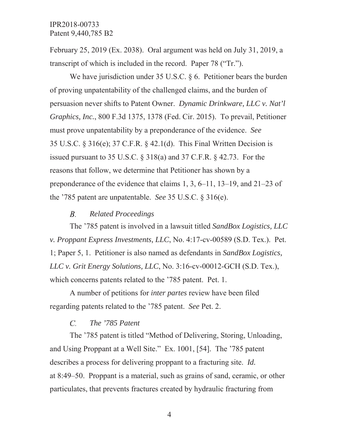February 25, 2019 (Ex. 2038). Oral argument was held on July 31, 2019, a transcript of which is included in the record. Paper 78 ("Tr.").

We have jurisdiction under 35 U.S.C. § 6. Petitioner bears the burden of proving unpatentability of the challenged claims, and the burden of persuasion never shifts to Patent Owner. *Dynamic Drinkware, LLC v. Nat'l Graphics, Inc.*, 800 F.3d 1375, 1378 (Fed. Cir. 2015). To prevail, Petitioner must prove unpatentability by a preponderance of the evidence. *See* 35 U.S.C. § 316(e); 37 C.F.R. § 42.1(d). This Final Written Decision is issued pursuant to 35 U.S.C. § 318(a) and 37 C.F.R. § 42.73. For the reasons that follow, we determine that Petitioner has shown by a preponderance of the evidence that claims 1, 3, 6–11, 13–19, and 21–23 of the '785 patent are unpatentable. *See* 35 U.S.C. § 316(e).

#### $B_{\cdot}$ *Related Proceedings*

The '785 patent is involved in a lawsuit titled *SandBox Logistics, LLC v. Proppant Express Investments, LLC*, No. 4:17-cv-00589 (S.D. Tex.). Pet. 1; Paper 5, 1. Petitioner is also named as defendants in *SandBox Logistics, LLC v. Grit Energy Solutions, LLC*, No. 3:16-cv-00012-GCH (S.D. Tex.), which concerns patents related to the '785 patent. Pet. 1.

A number of petitions for *inter partes* review have been filed regarding patents related to the '785 patent. *See* Pet. 2.

#### $\overline{C}$ *The '785 Patent*

The '785 patent is titled "Method of Delivering, Storing, Unloading, and Using Proppant at a Well Site." Ex. 1001, [54]. The '785 patent describes a process for delivering proppant to a fracturing site. *Id.* at 8:49–50. Proppant is a material, such as grains of sand, ceramic, or other particulates, that prevents fractures created by hydraulic fracturing from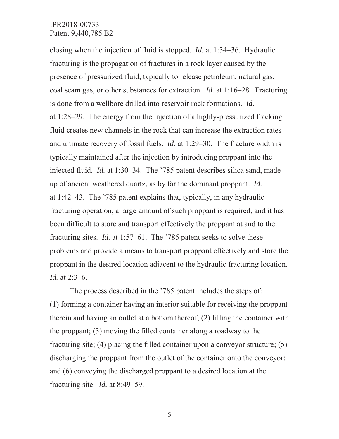closing when the injection of fluid is stopped. *Id.* at 1:34–36. Hydraulic fracturing is the propagation of fractures in a rock layer caused by the presence of pressurized fluid, typically to release petroleum, natural gas, coal seam gas, or other substances for extraction. *Id.* at 1:16–28. Fracturing is done from a wellbore drilled into reservoir rock formations. *Id.*  at 1:28–29. The energy from the injection of a highly-pressurized fracking fluid creates new channels in the rock that can increase the extraction rates and ultimate recovery of fossil fuels. *Id.* at 1:29–30. The fracture width is typically maintained after the injection by introducing proppant into the injected fluid. *Id.* at 1:30–34. The '785 patent describes silica sand, made up of ancient weathered quartz, as by far the dominant proppant. *Id.*  at 1:42–43. The '785 patent explains that, typically, in any hydraulic fracturing operation, a large amount of such proppant is required, and it has been difficult to store and transport effectively the proppant at and to the fracturing sites. *Id.* at 1:57–61. The '785 patent seeks to solve these problems and provide a means to transport proppant effectively and store the proppant in the desired location adjacent to the hydraulic fracturing location. *Id.* at 2:3–6.

The process described in the '785 patent includes the steps of: (1) forming a container having an interior suitable for receiving the proppant therein and having an outlet at a bottom thereof; (2) filling the container with the proppant; (3) moving the filled container along a roadway to the fracturing site; (4) placing the filled container upon a conveyor structure; (5) discharging the proppant from the outlet of the container onto the conveyor; and (6) conveying the discharged proppant to a desired location at the fracturing site. *Id.* at 8:49–59.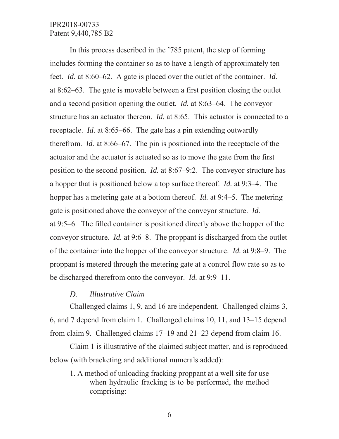In this process described in the '785 patent, the step of forming includes forming the container so as to have a length of approximately ten feet. *Id.* at 8:60–62. A gate is placed over the outlet of the container. *Id.*  at 8:62–63. The gate is movable between a first position closing the outlet and a second position opening the outlet. *Id.* at 8:63–64. The conveyor structure has an actuator thereon. *Id.* at 8:65. This actuator is connected to a receptacle. *Id.* at 8:65–66. The gate has a pin extending outwardly therefrom. *Id.* at 8:66–67. The pin is positioned into the receptacle of the actuator and the actuator is actuated so as to move the gate from the first position to the second position. *Id.* at 8:67–9:2. The conveyor structure has a hopper that is positioned below a top surface thereof. *Id.* at 9:3–4. The hopper has a metering gate at a bottom thereof. *Id.* at 9:4–5. The metering gate is positioned above the conveyor of the conveyor structure. *Id.*  at 9:5–6. The filled container is positioned directly above the hopper of the conveyor structure. *Id.* at 9:6–8. The proppant is discharged from the outlet of the container into the hopper of the conveyor structure. *Id.* at 9:8–9. The proppant is metered through the metering gate at a control flow rate so as to be discharged therefrom onto the conveyor. *Id.* at 9:9–11.

#### D. *Illustrative Claim*

Challenged claims 1, 9, and 16 are independent. Challenged claims 3, 6, and 7 depend from claim 1. Challenged claims 10, 11, and 13–15 depend from claim 9. Challenged claims 17–19 and 21–23 depend from claim 16.

Claim 1 is illustrative of the claimed subject matter, and is reproduced below (with bracketing and additional numerals added):

1. A method of unloading fracking proppant at a well site for use when hydraulic fracking is to be performed, the method comprising: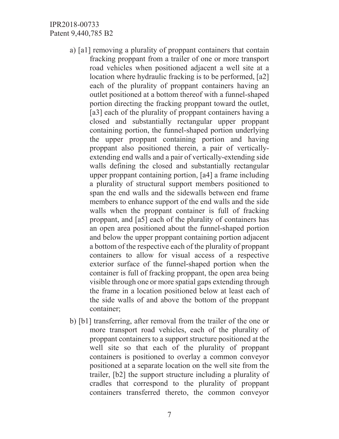- a) [a1] removing a plurality of proppant containers that contain fracking proppant from a trailer of one or more transport road vehicles when positioned adjacent a well site at a location where hydraulic fracking is to be performed, [a2] each of the plurality of proppant containers having an outlet positioned at a bottom thereof with a funnel-shaped portion directing the fracking proppant toward the outlet, [a3] each of the plurality of proppant containers having a closed and substantially rectangular upper proppant containing portion, the funnel-shaped portion underlying the upper proppant containing portion and having proppant also positioned therein, a pair of verticallyextending end walls and a pair of vertically-extending side walls defining the closed and substantially rectangular upper proppant containing portion, [a4] a frame including a plurality of structural support members positioned to span the end walls and the sidewalls between end frame members to enhance support of the end walls and the side walls when the proppant container is full of fracking proppant, and [a5] each of the plurality of containers has an open area positioned about the funnel-shaped portion and below the upper proppant containing portion adjacent a bottom of the respective each of the plurality of proppant containers to allow for visual access of a respective exterior surface of the funnel-shaped portion when the container is full of fracking proppant, the open area being visible through one or more spatial gaps extending through the frame in a location positioned below at least each of the side walls of and above the bottom of the proppant container;
- b) [b1] transferring, after removal from the trailer of the one or more transport road vehicles, each of the plurality of proppant containers to a support structure positioned at the well site so that each of the plurality of proppant containers is positioned to overlay a common conveyor positioned at a separate location on the well site from the trailer, [b2] the support structure including a plurality of cradles that correspond to the plurality of proppant containers transferred thereto, the common conveyor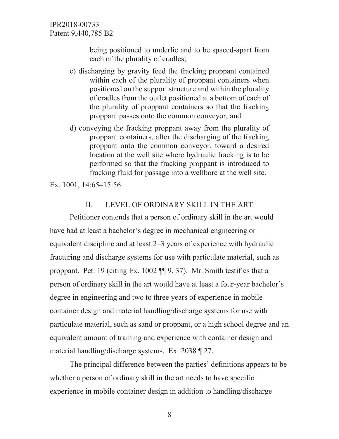> being positioned to underlie and to be spaced-apart from each of the plurality of cradles;

- c) discharging by gravity feed the fracking proppant contained within each of the plurality of proppant containers when positioned on the support structure and within the plurality of cradles from the outlet positioned at a bottom of each of the plurality of proppant containers so that the fracking proppant passes onto the common conveyor; and
- d) conveying the fracking proppant away from the plurality of proppant containers, after the discharging of the fracking proppant onto the common conveyor, toward a desired location at the well site where hydraulic fracking is to be performed so that the fracking proppant is introduced to fracking fluid for passage into a wellbore at the well site.

Ex. 1001, 14:65–15:56.

# II. LEVEL OF ORDINARY SKILL IN THE ART

Petitioner contends that a person of ordinary skill in the art would have had at least a bachelor's degree in mechanical engineering or equivalent discipline and at least 2–3 years of experience with hydraulic fracturing and discharge systems for use with particulate material, such as proppant. Pet. 19 (citing Ex. 1002 ¶¶ 9, 37). Mr. Smith testifies that a person of ordinary skill in the art would have at least a four-year bachelor's degree in engineering and two to three years of experience in mobile container design and material handling/discharge systems for use with particulate material, such as sand or proppant, or a high school degree and an equivalent amount of training and experience with container design and material handling/discharge systems. Ex. 2038 ¶ 27.

The principal difference between the parties' definitions appears to be whether a person of ordinary skill in the art needs to have specific experience in mobile container design in addition to handling/discharge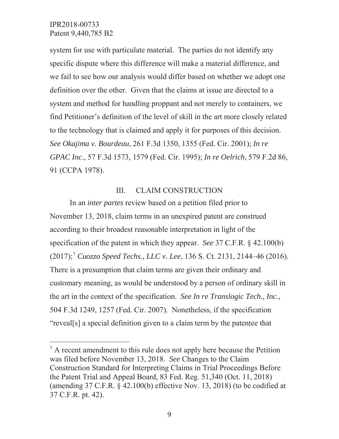system for use with particulate material. The parties do not identify any specific dispute where this difference will make a material difference, and we fail to see how our analysis would differ based on whether we adopt one definition over the other. Given that the claims at issue are directed to a system and method for handling proppant and not merely to containers, we find Petitioner's definition of the level of skill in the art more closely related to the technology that is claimed and apply it for purposes of this decision. *See Okajima v. Bourdeau*, 261 F.3d 1350, 1355 (Fed. Cir. 2001); *In re GPAC Inc*., 57 F.3d 1573, 1579 (Fed. Cir. 1995); *In re Oelrich*, 579 F.2d 86, 91 (CCPA 1978).

## III. CLAIM CONSTRUCTION

In an *inter partes* review based on a petition filed prior to November 13, 2018, claim terms in an unexpired patent are construed according to their broadest reasonable interpretation in light of the specification of the patent in which they appear. *See* 37 C.F.R. § 42.100(b) (2017);7 *Cuozzo Speed Techs., LLC v. Lee*, 136 S. Ct. 2131, 2144–46 (2016). There is a presumption that claim terms are given their ordinary and customary meaning, as would be understood by a person of ordinary skill in the art in the context of the specification. *See In re Translogic Tech., Inc.*, 504 F.3d 1249, 1257 (Fed. Cir. 2007). Nonetheless, if the specification "reveal[s] a special definition given to a claim term by the patentee that

 $<sup>7</sup>$  A recent amendment to this rule does not apply here because the Petition</sup> was filed before November 13, 2018. *See* Changes to the Claim Construction Standard for Interpreting Claims in Trial Proceedings Before the Patent Trial and Appeal Board, 83 Fed. Reg. 51,340 (Oct. 11, 2018) (amending  $37$  C.F.R. §  $42.100(b)$  effective Nov. 13, 2018) (to be codified at 37 C.F.R. pt. 42).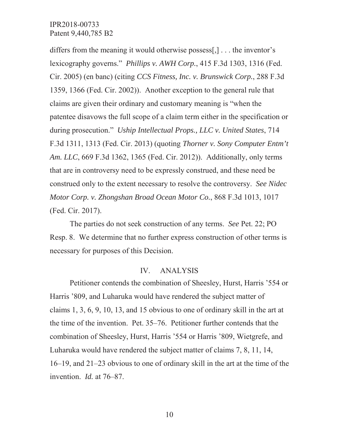differs from the meaning it would otherwise possess[,] . . . the inventor's lexicography governs." *Phillips v. AWH Corp.*, 415 F.3d 1303, 1316 (Fed. Cir. 2005) (en banc) (citing *CCS Fitness, Inc. v. Brunswick Corp.*, 288 F.3d 1359, 1366 (Fed. Cir. 2002)). Another exception to the general rule that claims are given their ordinary and customary meaning is "when the patentee disavows the full scope of a claim term either in the specification or during prosecution." *Uship Intellectual Props., LLC v. United States*, 714 F.3d 1311, 1313 (Fed. Cir. 2013) (quoting *Thorner v. Sony Computer Entm't Am. LLC*, 669 F.3d 1362, 1365 (Fed. Cir. 2012)). Additionally, only terms that are in controversy need to be expressly construed, and these need be construed only to the extent necessary to resolve the controversy. *See Nidec Motor Corp. v. Zhongshan Broad Ocean Motor Co.*, 868 F.3d 1013, 1017 (Fed. Cir. 2017).

The parties do not seek construction of any terms. *See* Pet. 22; PO Resp. 8. We determine that no further express construction of other terms is necessary for purposes of this Decision.

### IV. ANALYSIS

Petitioner contends the combination of Sheesley, Hurst, Harris '554 or Harris '809, and Luharuka would have rendered the subject matter of claims 1, 3, 6, 9, 10, 13, and 15 obvious to one of ordinary skill in the art at the time of the invention. Pet. 35–76. Petitioner further contends that the combination of Sheesley, Hurst, Harris '554 or Harris '809, Wietgrefe, and Luharuka would have rendered the subject matter of claims 7, 8, 11, 14, 16–19, and 21–23 obvious to one of ordinary skill in the art at the time of the invention. *Id.* at 76–87.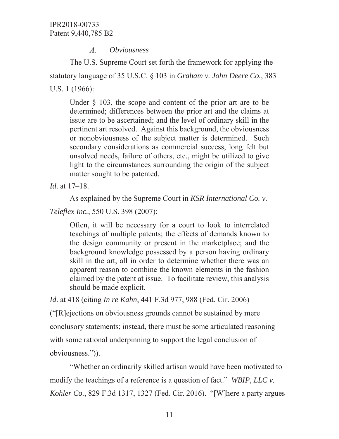#### $\mathcal{A}$ . *Obviousness*

The U.S. Supreme Court set forth the framework for applying the statutory language of 35 U.S.C. § 103 in *Graham v. John Deere Co.*, 383 U.S. 1 (1966):

Under § 103, the scope and content of the prior art are to be determined; differences between the prior art and the claims at issue are to be ascertained; and the level of ordinary skill in the pertinent art resolved. Against this background, the obviousness or nonobviousness of the subject matter is determined. Such secondary considerations as commercial success, long felt but unsolved needs, failure of others, etc., might be utilized to give light to the circumstances surrounding the origin of the subject matter sought to be patented.

*Id*. at 17–18.

As explained by the Supreme Court in *KSR International Co. v.* 

*Teleflex Inc.*, 550 U.S. 398 (2007):

Often, it will be necessary for a court to look to interrelated teachings of multiple patents; the effects of demands known to the design community or present in the marketplace; and the background knowledge possessed by a person having ordinary skill in the art, all in order to determine whether there was an apparent reason to combine the known elements in the fashion claimed by the patent at issue. To facilitate review, this analysis should be made explicit.

*Id*. at 418 (citing *In re Kahn*, 441 F.3d 977, 988 (Fed. Cir. 2006)

("[R]ejections on obviousness grounds cannot be sustained by mere conclusory statements; instead, there must be some articulated reasoning with some rational underpinning to support the legal conclusion of obviousness.")).

"Whether an ordinarily skilled artisan would have been motivated to modify the teachings of a reference is a question of fact." *WBIP, LLC v. Kohler Co.*, 829 F.3d 1317, 1327 (Fed. Cir. 2016). "[W]here a party argues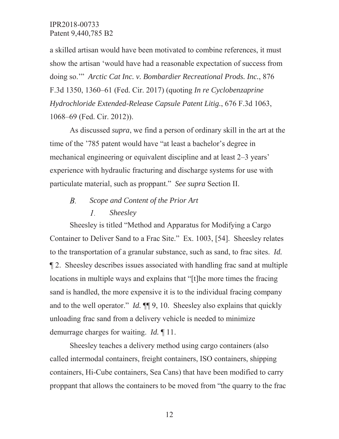a skilled artisan would have been motivated to combine references, it must show the artisan 'would have had a reasonable expectation of success from doing so.'" *Arctic Cat Inc. v. Bombardier Recreational Prods. Inc.*, 876 F.3d 1350, 1360–61 (Fed. Cir. 2017) (quoting *In re Cyclobenzaprine Hydrochloride Extended-Release Capsule Patent Litig.*, 676 F.3d 1063, 1068–69 (Fed. Cir. 2012)).

As discussed *supra*, we find a person of ordinary skill in the art at the time of the '785 patent would have "at least a bachelor's degree in mechanical engineering or equivalent discipline and at least 2–3 years' experience with hydraulic fracturing and discharge systems for use with particulate material, such as proppant." *See supra* Section II.

### *Scope and Content of the Prior Art*  $B$ . 1. *Sheesley*

Sheesley is titled "Method and Apparatus for Modifying a Cargo Container to Deliver Sand to a Frac Site." Ex. 1003, [54]. Sheesley relates to the transportation of a granular substance, such as sand, to frac sites. *Id.*  ¶ 2. Sheesley describes issues associated with handling frac sand at multiple locations in multiple ways and explains that "[t]he more times the fracing sand is handled, the more expensive it is to the individual fracing company and to the well operator." *Id.*  $\P\P$  9, 10. Sheesley also explains that quickly unloading frac sand from a delivery vehicle is needed to minimize demurrage charges for waiting. *Id.* ¶ 11.

Sheesley teaches a delivery method using cargo containers (also called intermodal containers, freight containers, ISO containers, shipping containers, Hi-Cube containers, Sea Cans) that have been modified to carry proppant that allows the containers to be moved from "the quarry to the frac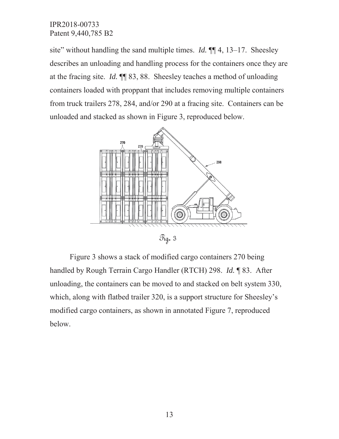site" without handling the sand multiple times. *Id.* ¶¶ 4, 13–17. Sheesley describes an unloading and handling process for the containers once they are at the fracing site. *Id.* ¶¶ 83, 88. Sheesley teaches a method of unloading containers loaded with proppant that includes removing multiple containers from truck trailers 278, 284, and/or 290 at a fracing site. Containers can be unloaded and stacked as shown in Figure 3, reproduced below.



 $\mathfrak{I}_{\mathfrak{ig}}$ . 3

Figure 3 shows a stack of modified cargo containers 270 being handled by Rough Terrain Cargo Handler (RTCH) 298. *Id.* ¶ 83. After unloading, the containers can be moved to and stacked on belt system 330, which, along with flatbed trailer 320, is a support structure for Sheesley's modified cargo containers, as shown in annotated Figure 7, reproduced below.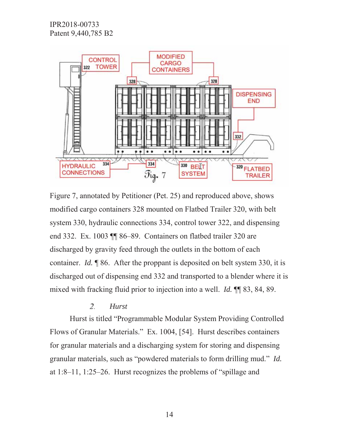

Figure 7, annotated by Petitioner (Pet. 25) and reproduced above, shows modified cargo containers 328 mounted on Flatbed Trailer 320, with belt system 330, hydraulic connections 334, control tower 322, and dispensing end 332. Ex. 1003 ¶¶ 86–89. Containers on flatbed trailer 320 are discharged by gravity feed through the outlets in the bottom of each container. *Id.* 186. After the proppant is deposited on belt system 330, it is discharged out of dispensing end 332 and transported to a blender where it is mixed with fracking fluid prior to injection into a well. *Id.* ¶¶ 83, 84, 89.

#### 2. *Hurst*

Hurst is titled "Programmable Modular System Providing Controlled Flows of Granular Materials." Ex. 1004, [54]. Hurst describes containers for granular materials and a discharging system for storing and dispensing granular materials, such as "powdered materials to form drilling mud." *Id.*  at 1:8–11, 1:25–26. Hurst recognizes the problems of "spillage and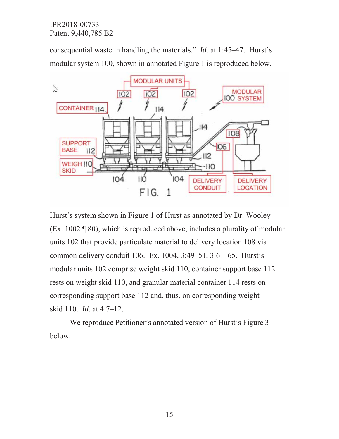consequential waste in handling the materials." *Id.* at 1:45–47. Hurst's modular system 100, shown in annotated Figure 1 is reproduced below.



Hurst's system shown in Figure 1 of Hurst as annotated by Dr. Wooley (Ex. 1002 ¶ 80), which is reproduced above, includes a plurality of modular units 102 that provide particulate material to delivery location 108 via common delivery conduit 106. Ex. 1004, 3:49–51, 3:61–65. Hurst's modular units 102 comprise weight skid 110, container support base 112 rests on weight skid 110, and granular material container 114 rests on corresponding support base 112 and, thus, on corresponding weight skid 110. *Id.* at 4:7–12.

We reproduce Petitioner's annotated version of Hurst's Figure 3 below.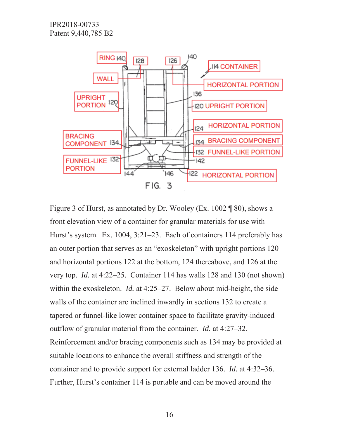

Figure 3 of Hurst, as annotated by Dr. Wooley (Ex. 1002 ¶ 80), shows a front elevation view of a container for granular materials for use with Hurst's system. Ex. 1004, 3:21–23. Each of containers 114 preferably has an outer portion that serves as an "exoskeleton" with upright portions 120 and horizontal portions 122 at the bottom, 124 thereabove, and 126 at the very top. *Id.* at 4:22–25. Container 114 has walls 128 and 130 (not shown) within the exoskeleton. *Id.* at 4:25–27. Below about mid-height, the side walls of the container are inclined inwardly in sections 132 to create a tapered or funnel-like lower container space to facilitate gravity-induced outflow of granular material from the container. *Id.* at 4:27–32. Reinforcement and/or bracing components such as 134 may be provided at suitable locations to enhance the overall stiffness and strength of the container and to provide support for external ladder 136. *Id.* at 4:32–36. Further, Hurst's container 114 is portable and can be moved around the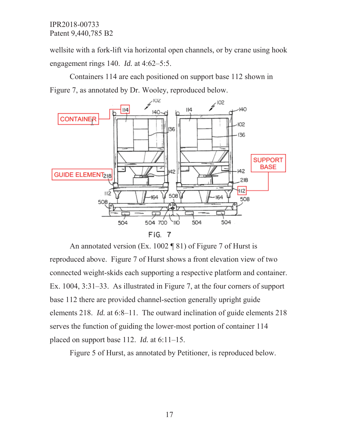wellsite with a fork-lift via horizontal open channels, or by crane using hook engagement rings 140. *Id.* at 4:62–5:5.

Containers 114 are each positioned on support base 112 shown in Figure 7, as annotated by Dr. Wooley, reproduced below.



An annotated version (Ex. 1002 ¶ 81) of Figure 7 of Hurst is reproduced above. Figure 7 of Hurst shows a front elevation view of two connected weight-skids each supporting a respective platform and container. Ex. 1004, 3:31–33. As illustrated in Figure 7, at the four corners of support base 112 there are provided channel-section generally upright guide elements 218. *Id.* at 6:8–11. The outward inclination of guide elements 218 serves the function of guiding the lower-most portion of container 114 placed on support base 112. *Id.* at 6:11–15.

Figure 5 of Hurst, as annotated by Petitioner, is reproduced below.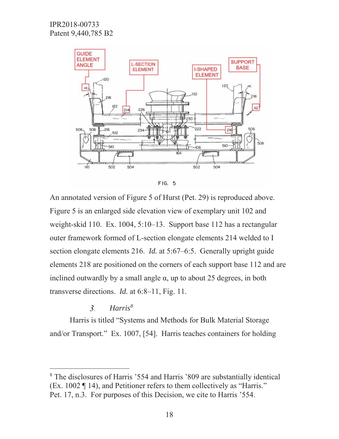



An annotated version of Figure 5 of Hurst (Pet. 29) is reproduced above. Figure 5 is an enlarged side elevation view of exemplary unit 102 and weight-skid 110. Ex. 1004, 5:10–13. Support base 112 has a rectangular outer framework formed of L-section elongate elements 214 welded to I section elongate elements 216. *Id.* at 5:67–6:5. Generally upright guide elements 218 are positioned on the corners of each support base 112 and are inclined outwardly by a small angle  $\alpha$ , up to about 25 degrees, in both transverse directions. *Id.* at 6:8–11, Fig. 11.

#### *Harris8*  $\mathfrak{Z}$ .

Harris is titled "Systems and Methods for Bulk Material Storage and/or Transport." Ex. 1007, [54]. Harris teaches containers for holding

<sup>8</sup> The disclosures of Harris '554 and Harris '809 are substantially identical (Ex. 1002 ¶ 14), and Petitioner refers to them collectively as "Harris." Pet. 17, n.3. For purposes of this Decision, we cite to Harris '554.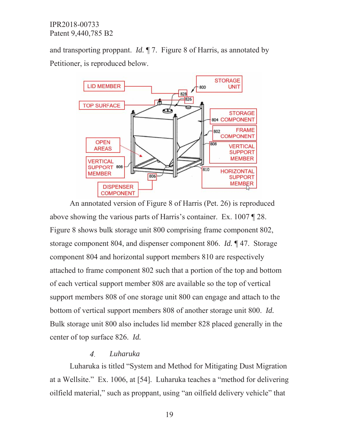and transporting proppant. *Id.* ¶ 7. Figure 8 of Harris, as annotated by Petitioner, is reproduced below.



An annotated version of Figure 8 of Harris (Pet. 26) is reproduced above showing the various parts of Harris's container. Ex. 1007 ¶ 28. Figure 8 shows bulk storage unit 800 comprising frame component 802, storage component 804, and dispenser component 806. *Id.* ¶ 47. Storage component 804 and horizontal support members 810 are respectively attached to frame component 802 such that a portion of the top and bottom of each vertical support member 808 are available so the top of vertical support members 808 of one storage unit 800 can engage and attach to the bottom of vertical support members 808 of another storage unit 800. *Id.* Bulk storage unit 800 also includes lid member 828 placed generally in the center of top surface 826. *Id.*

#### $\overline{4}$ . *Luharuka*

Luharuka is titled "System and Method for Mitigating Dust Migration at a Wellsite." Ex. 1006, at [54]. Luharuka teaches a "method for delivering oilfield material," such as proppant, using "an oilfield delivery vehicle" that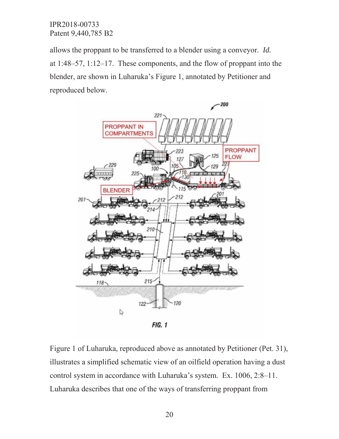allows the proppant to be transferred to a blender using a conveyor. *Id.*  at 1:48–57, 1:12–17. These components, and the flow of proppant into the blender, are shown in Luharuka's Figure 1, annotated by Petitioner and reproduced below.



Figure 1 of Luharuka, reproduced above as annotated by Petitioner (Pet. 31), illustrates a simplified schematic view of an oilfield operation having a dust control system in accordance with Luharuka's system. Ex. 1006, 2:8–11. Luharuka describes that one of the ways of transferring proppant from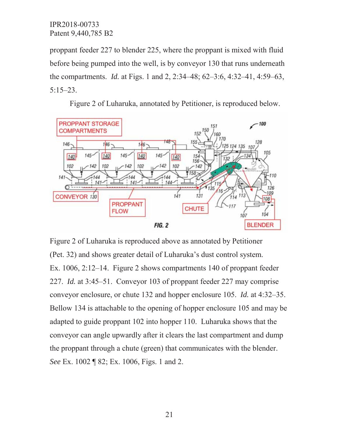proppant feeder 227 to blender 225, where the proppant is mixed with fluid before being pumped into the well, is by conveyor 130 that runs underneath the compartments. *Id.* at Figs. 1 and 2, 2:34–48; 62–3:6, 4:32–41, 4:59–63, 5:15–23.





Figure 2 of Luharuka is reproduced above as annotated by Petitioner (Pet. 32) and shows greater detail of Luharuka's dust control system. Ex. 1006, 2:12–14. Figure 2 shows compartments 140 of proppant feeder 227. *Id.* at 3:45–51. Conveyor 103 of proppant feeder 227 may comprise conveyor enclosure, or chute 132 and hopper enclosure 105. *Id.* at 4:32–35. Bellow 134 is attachable to the opening of hopper enclosure 105 and may be adapted to guide proppant 102 into hopper 110. Luharuka shows that the conveyor can angle upwardly after it clears the last compartment and dump the proppant through a chute (green) that communicates with the blender. *See* Ex. 1002 ¶ 82; Ex. 1006, Figs. 1 and 2.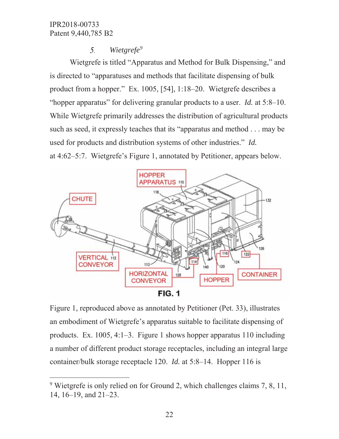### *Wietgrefe9* 5.

Wietgrefe is titled "Apparatus and Method for Bulk Dispensing," and is directed to "apparatuses and methods that facilitate dispensing of bulk product from a hopper." Ex. 1005, [54], 1:18–20. Wietgrefe describes a "hopper apparatus" for delivering granular products to a user. *Id.* at 5:8–10. While Wietgrefe primarily addresses the distribution of agricultural products such as seed, it expressly teaches that its "apparatus and method . . . may be used for products and distribution systems of other industries." *Id.*  at 4:62–5:7. Wietgrefe's Figure 1, annotated by Petitioner, appears below.



Figure 1, reproduced above as annotated by Petitioner (Pet. 33), illustrates an embodiment of Wietgrefe's apparatus suitable to facilitate dispensing of products. Ex. 1005, 4:1–3. Figure 1 shows hopper apparatus 110 including a number of different product storage receptacles, including an integral large container/bulk storage receptacle 120. *Id.* at 5:8–14. Hopper 116 is

<sup>9</sup> Wietgrefe is only relied on for Ground 2, which challenges claims 7, 8, 11, 14, 16–19, and 21–23.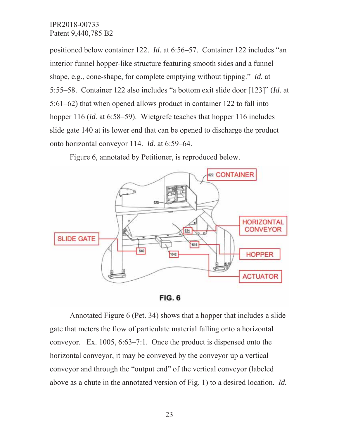positioned below container 122. *Id.* at 6:56–57. Container 122 includes "an interior funnel hopper-like structure featuring smooth sides and a funnel shape, e.g., cone-shape, for complete emptying without tipping." *Id.* at 5:55–58. Container 122 also includes "a bottom exit slide door [123]" (*Id.* at 5:61–62) that when opened allows product in container 122 to fall into hopper 116 *(id.* at 6:58–59). Wietgrefe teaches that hopper 116 includes slide gate 140 at its lower end that can be opened to discharge the product onto horizontal conveyor 114. *Id.* at 6:59–64.

Figure 6, annotated by Petitioner, is reproduced below.





Annotated Figure 6 (Pet. 34) shows that a hopper that includes a slide gate that meters the flow of particulate material falling onto a horizontal conveyor. Ex. 1005, 6:63–7:1. Once the product is dispensed onto the horizontal conveyor, it may be conveyed by the conveyor up a vertical conveyor and through the "output end" of the vertical conveyor (labeled above as a chute in the annotated version of Fig. 1) to a desired location. *Id.*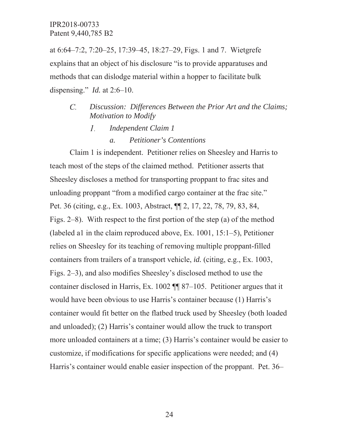at 6:64–7:2, 7:20–25, 17:39–45, 18:27–29, Figs. 1 and 7. Wietgrefe explains that an object of his disclosure "is to provide apparatuses and methods that can dislodge material within a hopper to facilitate bulk dispensing." *Id.* at 2:6–10.

- *Discussion: Differences Between the Prior Art and the Claims;*  C. *Motivation to Modify*
	- $\mathcal{I}$ . *Independent Claim 1*

*a. Petitioner's Contentions*

Claim 1 is independent. Petitioner relies on Sheesley and Harris to teach most of the steps of the claimed method. Petitioner asserts that Sheesley discloses a method for transporting proppant to frac sites and unloading proppant "from a modified cargo container at the frac site." Pet. 36 (citing, e.g., Ex. 1003, Abstract, ¶¶ 2, 17, 22, 78, 79, 83, 84, Figs. 2–8). With respect to the first portion of the step (a) of the method (labeled a1 in the claim reproduced above, Ex. 1001, 15:1–5), Petitioner relies on Sheesley for its teaching of removing multiple proppant-filled containers from trailers of a transport vehicle, *id.* (citing, e.g., Ex. 1003, Figs. 2–3), and also modifies Sheesley's disclosed method to use the container disclosed in Harris, Ex. 1002 ¶¶ 87–105. Petitioner argues that it would have been obvious to use Harris's container because (1) Harris's container would fit better on the flatbed truck used by Sheesley (both loaded and unloaded); (2) Harris's container would allow the truck to transport more unloaded containers at a time; (3) Harris's container would be easier to customize, if modifications for specific applications were needed; and (4) Harris's container would enable easier inspection of the proppant. Pet. 36–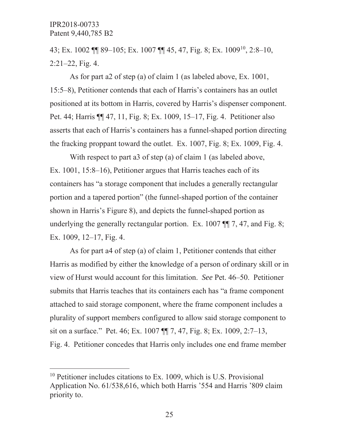43; Ex. 1002 ¶¶ 89–105; Ex. 1007 ¶¶ 45, 47, Fig. 8; Ex. 100910, 2:8–10, 2:21–22, Fig. 4.

As for part a2 of step (a) of claim 1 (as labeled above, Ex. 1001, 15:5–8), Petitioner contends that each of Harris's containers has an outlet positioned at its bottom in Harris, covered by Harris's dispenser component. Pet. 44; Harris ¶¶ 47, 11, Fig. 8; Ex. 1009, 15–17, Fig. 4. Petitioner also asserts that each of Harris's containers has a funnel-shaped portion directing the fracking proppant toward the outlet. Ex. 1007, Fig. 8; Ex. 1009, Fig. 4.

With respect to part a3 of step (a) of claim 1 (as labeled above, Ex. 1001, 15:8–16), Petitioner argues that Harris teaches each of its containers has "a storage component that includes a generally rectangular portion and a tapered portion" (the funnel-shaped portion of the container shown in Harris's Figure 8), and depicts the funnel-shaped portion as underlying the generally rectangular portion. Ex. 1007  $\P$ , 47, and Fig. 8; Ex. 1009, 12–17, Fig. 4.

As for part a4 of step (a) of claim 1, Petitioner contends that either Harris as modified by either the knowledge of a person of ordinary skill or in view of Hurst would account for this limitation. *See* Pet. 46–50. Petitioner submits that Harris teaches that its containers each has "a frame component attached to said storage component, where the frame component includes a plurality of support members configured to allow said storage component to sit on a surface." Pet. 46; Ex. 1007 ¶¶ 7, 47, Fig. 8; Ex. 1009, 2:7–13, Fig. 4. Petitioner concedes that Harris only includes one end frame member

<sup>&</sup>lt;sup>10</sup> Petitioner includes citations to Ex. 1009, which is U.S. Provisional Application No. 61/538,616, which both Harris '554 and Harris '809 claim priority to.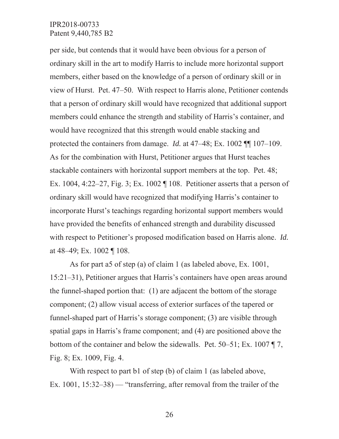per side, but contends that it would have been obvious for a person of ordinary skill in the art to modify Harris to include more horizontal support members, either based on the knowledge of a person of ordinary skill or in view of Hurst. Pet. 47–50. With respect to Harris alone, Petitioner contends that a person of ordinary skill would have recognized that additional support members could enhance the strength and stability of Harris's container, and would have recognized that this strength would enable stacking and protected the containers from damage. *Id.* at 47–48; Ex. 1002 ¶¶ 107–109. As for the combination with Hurst, Petitioner argues that Hurst teaches stackable containers with horizontal support members at the top. Pet. 48; Ex. 1004, 4:22–27, Fig. 3; Ex. 1002 ¶ 108. Petitioner asserts that a person of ordinary skill would have recognized that modifying Harris's container to incorporate Hurst's teachings regarding horizontal support members would have provided the benefits of enhanced strength and durability discussed with respect to Petitioner's proposed modification based on Harris alone. *Id.*  at 48–49; Ex. 1002 ¶ 108.

As for part a5 of step (a) of claim 1 (as labeled above, Ex. 1001, 15:21–31), Petitioner argues that Harris's containers have open areas around the funnel-shaped portion that: (1) are adjacent the bottom of the storage component; (2) allow visual access of exterior surfaces of the tapered or funnel-shaped part of Harris's storage component; (3) are visible through spatial gaps in Harris's frame component; and (4) are positioned above the bottom of the container and below the sidewalls. Pet. 50–51; Ex. 1007 ¶ 7, Fig. 8; Ex. 1009, Fig. 4.

With respect to part b1 of step (b) of claim 1 (as labeled above, Ex. 1001, 15:32–38) — "transferring, after removal from the trailer of the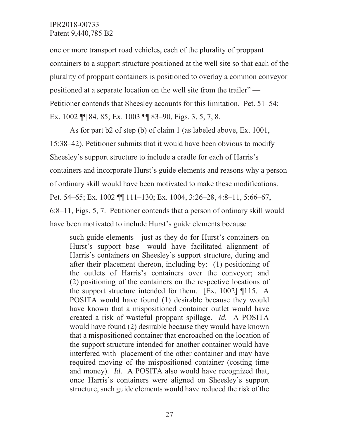one or more transport road vehicles, each of the plurality of proppant containers to a support structure positioned at the well site so that each of the plurality of proppant containers is positioned to overlay a common conveyor positioned at a separate location on the well site from the trailer" — Petitioner contends that Sheesley accounts for this limitation. Pet. 51–54; Ex. 1002 ¶¶ 84, 85; Ex. 1003 ¶¶ 83–90, Figs. 3, 5, 7, 8.

As for part b2 of step (b) of claim 1 (as labeled above, Ex. 1001, 15:38–42), Petitioner submits that it would have been obvious to modify Sheesley's support structure to include a cradle for each of Harris's containers and incorporate Hurst's guide elements and reasons why a person of ordinary skill would have been motivated to make these modifications. Pet. 54–65; Ex. 1002 ¶¶ 111–130; Ex. 1004, 3:26–28, 4:8–11, 5:66–67, 6:8–11, Figs. 5, 7. Petitioner contends that a person of ordinary skill would have been motivated to include Hurst's guide elements because

such guide elements—just as they do for Hurst's containers on Hurst's support base—would have facilitated alignment of Harris's containers on Sheesley's support structure, during and after their placement thereon, including by: (1) positioning of the outlets of Harris's containers over the conveyor; and (2) positioning of the containers on the respective locations of the support structure intended for them. [Ex. 1002] ¶115. A POSITA would have found (1) desirable because they would have known that a mispositioned container outlet would have created a risk of wasteful proppant spillage. *Id.* A POSITA would have found (2) desirable because they would have known that a mispositioned container that encroached on the location of the support structure intended for another container would have interfered with placement of the other container and may have required moving of the mispositioned container (costing time and money). *Id.* A POSITA also would have recognized that, once Harris's containers were aligned on Sheesley's support structure, such guide elements would have reduced the risk of the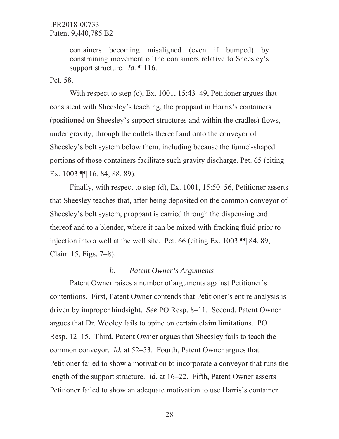containers becoming misaligned (even if bumped) by constraining movement of the containers relative to Sheesley's support structure. *Id.* ¶ 116.

Pet. 58.

With respect to step (c), Ex. 1001, 15:43–49, Petitioner argues that consistent with Sheesley's teaching, the proppant in Harris's containers (positioned on Sheesley's support structures and within the cradles) flows, under gravity, through the outlets thereof and onto the conveyor of Sheesley's belt system below them, including because the funnel-shaped portions of those containers facilitate such gravity discharge. Pet. 65 (citing Ex. 1003 ¶¶ 16, 84, 88, 89).

Finally, with respect to step (d), Ex. 1001, 15:50–56, Petitioner asserts that Sheesley teaches that, after being deposited on the common conveyor of Sheesley's belt system, proppant is carried through the dispensing end thereof and to a blender, where it can be mixed with fracking fluid prior to injection into a well at the well site. Pet. 66 (citing Ex. 1003 ¶¶ 84, 89, Claim 15, Figs. 7–8).

### *b. Patent Owner's Arguments*

Patent Owner raises a number of arguments against Petitioner's contentions. First, Patent Owner contends that Petitioner's entire analysis is driven by improper hindsight. *See* PO Resp. 8–11. Second, Patent Owner argues that Dr. Wooley fails to opine on certain claim limitations. PO Resp. 12–15. Third, Patent Owner argues that Sheesley fails to teach the common conveyor. *Id.* at 52–53. Fourth, Patent Owner argues that Petitioner failed to show a motivation to incorporate a conveyor that runs the length of the support structure. *Id.* at 16–22. Fifth, Patent Owner asserts Petitioner failed to show an adequate motivation to use Harris's container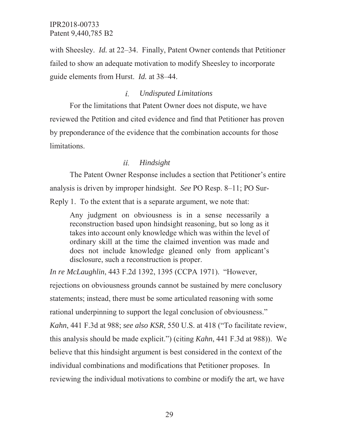with Sheesley. *Id.* at 22–34. Finally, Patent Owner contends that Petitioner failed to show an adequate motivation to modify Sheesley to incorporate guide elements from Hurst. *Id.* at 38–44.

#### $\dot{L}$ *Undisputed Limitations*

For the limitations that Patent Owner does not dispute, we have reviewed the Petition and cited evidence and find that Petitioner has proven by preponderance of the evidence that the combination accounts for those limitations.

### ii. *Hindsight*

The Patent Owner Response includes a section that Petitioner's entire analysis is driven by improper hindsight. *See* PO Resp. 8–11; PO Sur-Reply 1. To the extent that is a separate argument, we note that:

Any judgment on obviousness is in a sense necessarily a reconstruction based upon hindsight reasoning, but so long as it takes into account only knowledge which was within the level of ordinary skill at the time the claimed invention was made and does not include knowledge gleaned only from applicant's disclosure, such a reconstruction is proper.

*In re McLaughlin*, 443 F.2d 1392, 1395 (CCPA 1971). "However, rejections on obviousness grounds cannot be sustained by mere conclusory statements; instead, there must be some articulated reasoning with some rational underpinning to support the legal conclusion of obviousness." *Kahn*, 441 F.3d at 988; *see also KSR*, 550 U.S. at 418 ("To facilitate review, this analysis should be made explicit.") (citing *Kahn*, 441 F.3d at 988)). We believe that this hindsight argument is best considered in the context of the individual combinations and modifications that Petitioner proposes. In reviewing the individual motivations to combine or modify the art, we have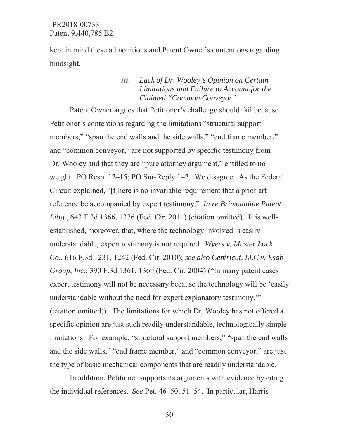kept in mind these admonitions and Patent Owner's contentions regarding hindsight.

### *Lack of Dr. Wooley's Opinion on Certain*  iii. *Limitations and Failure to Account for the Claimed "Common Conveyor"*

Patent Owner argues that Petitioner's challenge should fail because Petitioner's contentions regarding the limitations "structural support members," "span the end walls and the side walls," "end frame member," and "common conveyor," are not supported by specific testimony from Dr. Wooley and that they are "pure attorney argument," entitled to no weight. PO Resp. 12–15; PO Sur-Reply 1–2. We disagree. As the Federal Circuit explained, "[t]here is no invariable requirement that a prior art reference be accompanied by expert testimony." *In re Brimonidine Patent Litig.*, 643 F.3d 1366, 1376 (Fed. Cir. 2011) (citation omitted). It is wellestablished, moreover, that, where the technology involved is easily understandable, expert testimony is not required. *Wyers v. Master Lock Co.*, 616 F.3d 1231, 1242 (Fed. Cir. 2010); *see also Centricut, LLC v. Esab Group, Inc.*, 390 F.3d 1361, 1369 (Fed. Cir. 2004) ("In many patent cases expert testimony will not be necessary because the technology will be 'easily understandable without the need for expert explanatory testimony.'" (citation omitted)). The limitations for which Dr. Wooley has not offered a specific opinion are just such readily understandable, technologically simple limitations. For example, "structural support members," "span the end walls and the side walls," "end frame member," and "common conveyor," are just the type of basic mechanical components that are readily understandable.

In addition, Petitioner supports its arguments with evidence by citing the individual references. *See* Pet. 46–50, 51–54. In particular, Harris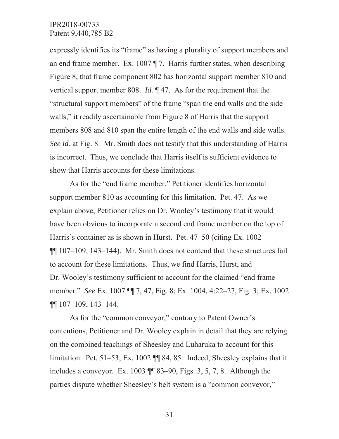expressly identifies its "frame" as having a plurality of support members and an end frame member. Ex. 1007 ¶ 7. Harris further states, when describing Figure 8, that frame component 802 has horizontal support member 810 and vertical support member 808. *Id.* ¶ 47. As for the requirement that the "structural support members" of the frame "span the end walls and the side walls," it readily ascertainable from Figure 8 of Harris that the support members 808 and 810 span the entire length of the end walls and side walls. *See id.* at Fig. 8. Mr. Smith does not testify that this understanding of Harris is incorrect. Thus, we conclude that Harris itself is sufficient evidence to show that Harris accounts for these limitations.

As for the "end frame member," Petitioner identifies horizontal support member 810 as accounting for this limitation. Pet. 47. As we explain above, Petitioner relies on Dr. Wooley's testimony that it would have been obvious to incorporate a second end frame member on the top of Harris's container as is shown in Hurst. Pet. 47–50 (citing Ex. 1002 ¶¶ 107–109, 143–144). Mr. Smith does not contend that these structures fail to account for these limitations. Thus, we find Harris, Hurst, and Dr. Wooley's testimony sufficient to account for the claimed "end frame member." *See* Ex. 1007 ¶¶ 7, 47, Fig. 8; Ex. 1004, 4:22–27, Fig. 3; Ex. 1002 ¶¶ 107–109, 143–144.

As for the "common conveyor," contrary to Patent Owner's contentions, Petitioner and Dr. Wooley explain in detail that they are relying on the combined teachings of Sheesley and Luharuka to account for this limitation. Pet. 51–53; Ex. 1002 ¶¶ 84, 85. Indeed, Sheesley explains that it includes a conveyor. Ex. 1003 ¶¶ 83–90, Figs. 3, 5, 7, 8. Although the parties dispute whether Sheesley's belt system is a "common conveyor,"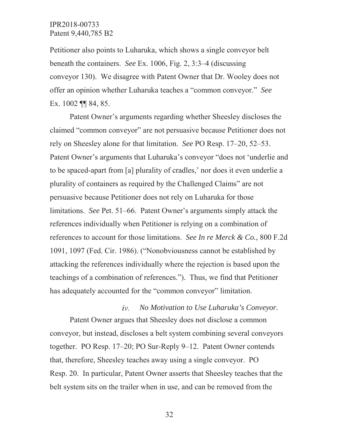Petitioner also points to Luharuka, which shows a single conveyor belt beneath the containers. *See* Ex. 1006, Fig. 2, 3:3–4 (discussing conveyor 130). We disagree with Patent Owner that Dr. Wooley does not offer an opinion whether Luharuka teaches a "common conveyor." *See*  Ex. 1002 ¶¶ 84, 85.

Patent Owner's arguments regarding whether Sheesley discloses the claimed "common conveyor" are not persuasive because Petitioner does not rely on Sheesley alone for that limitation. *See* PO Resp. 17–20, 52–53. Patent Owner's arguments that Luharuka's conveyor "does not 'underlie and to be spaced-apart from [a] plurality of cradles,' nor does it even underlie a plurality of containers as required by the Challenged Claims" are not persuasive because Petitioner does not rely on Luharuka for those limitations. *See* Pet. 51–66. Patent Owner's arguments simply attack the references individually when Petitioner is relying on a combination of references to account for those limitations. *See In re Merck & Co.*, 800 F.2d 1091, 1097 (Fed. Cir. 1986). ("Nonobviousness cannot be established by attacking the references individually where the rejection is based upon the teachings of a combination of references."). Thus, we find that Petitioner has adequately accounted for the "common conveyor" limitation.

#### $iv.$ *No Motivation to Use Luharuka's Conveyor.*

Patent Owner argues that Sheesley does not disclose a common conveyor, but instead, discloses a belt system combining several conveyors together. PO Resp. 17–20; PO Sur-Reply 9–12. Patent Owner contends that, therefore, Sheesley teaches away using a single conveyor. PO Resp. 20. In particular, Patent Owner asserts that Sheesley teaches that the belt system sits on the trailer when in use, and can be removed from the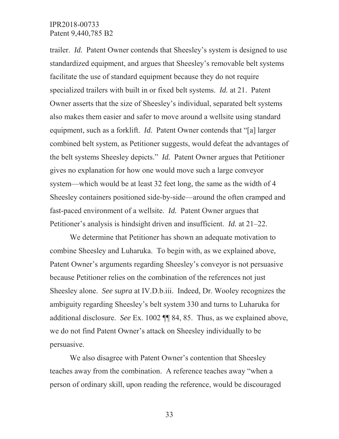trailer. *Id.* Patent Owner contends that Sheesley's system is designed to use standardized equipment, and argues that Sheesley's removable belt systems facilitate the use of standard equipment because they do not require specialized trailers with built in or fixed belt systems. *Id.* at 21. Patent Owner asserts that the size of Sheesley's individual, separated belt systems also makes them easier and safer to move around a wellsite using standard equipment, such as a forklift. *Id.* Patent Owner contends that "[a] larger combined belt system, as Petitioner suggests, would defeat the advantages of the belt systems Sheesley depicts." *Id.* Patent Owner argues that Petitioner gives no explanation for how one would move such a large conveyor system—which would be at least 32 feet long, the same as the width of 4 Sheesley containers positioned side-by-side—around the often cramped and fast-paced environment of a wellsite. *Id.* Patent Owner argues that Petitioner's analysis is hindsight driven and insufficient. *Id.* at 21–22.

We determine that Petitioner has shown an adequate motivation to combine Sheesley and Luharuka. To begin with, as we explained above, Patent Owner's arguments regarding Sheesley's conveyor is not persuasive because Petitioner relies on the combination of the references not just Sheesley alone. *See supra* at IV.D.b.iii. Indeed, Dr. Wooley recognizes the ambiguity regarding Sheesley's belt system 330 and turns to Luharuka for additional disclosure. *See* Ex. 1002 ¶¶ 84, 85. Thus, as we explained above, we do not find Patent Owner's attack on Sheesley individually to be persuasive.

We also disagree with Patent Owner's contention that Sheesley teaches away from the combination. A reference teaches away "when a person of ordinary skill, upon reading the reference, would be discouraged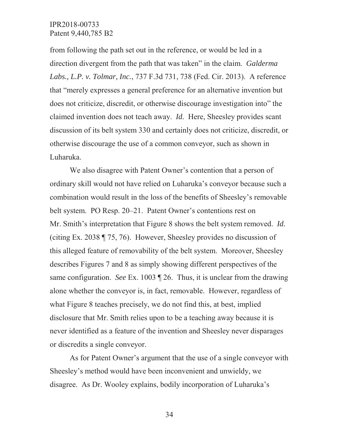from following the path set out in the reference, or would be led in a direction divergent from the path that was taken" in the claim. *Galderma Labs., L.P. v. Tolmar, Inc.*, 737 F.3d 731, 738 (Fed. Cir. 2013). A reference that "merely expresses a general preference for an alternative invention but does not criticize, discredit, or otherwise discourage investigation into" the claimed invention does not teach away. *Id.* Here, Sheesley provides scant discussion of its belt system 330 and certainly does not criticize, discredit, or otherwise discourage the use of a common conveyor, such as shown in Luharuka.

We also disagree with Patent Owner's contention that a person of ordinary skill would not have relied on Luharuka's conveyor because such a combination would result in the loss of the benefits of Sheesley's removable belt system. PO Resp. 20–21. Patent Owner's contentions rest on Mr. Smith's interpretation that Figure 8 shows the belt system removed. *Id.* (citing Ex. 2038 ¶ 75, 76). However, Sheesley provides no discussion of this alleged feature of removability of the belt system. Moreover, Sheesley describes Figures 7 and 8 as simply showing different perspectives of the same configuration. *See* Ex. 1003 ¶ 26. Thus, it is unclear from the drawing alone whether the conveyor is, in fact, removable. However, regardless of what Figure 8 teaches precisely, we do not find this, at best, implied disclosure that Mr. Smith relies upon to be a teaching away because it is never identified as a feature of the invention and Sheesley never disparages or discredits a single conveyor.

As for Patent Owner's argument that the use of a single conveyor with Sheesley's method would have been inconvenient and unwieldy, we disagree. As Dr. Wooley explains, bodily incorporation of Luharuka's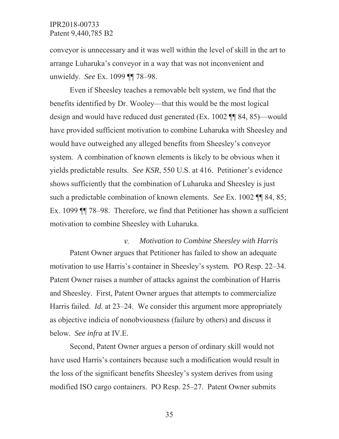conveyor is unnecessary and it was well within the level of skill in the art to arrange Luharuka's conveyor in a way that was not inconvenient and unwieldy. *See* Ex. 1099 ¶¶ 78–98.

Even if Sheesley teaches a removable belt system, we find that the benefits identified by Dr. Wooley—that this would be the most logical design and would have reduced dust generated (Ex. 1002 ¶¶ 84, 85)—would have provided sufficient motivation to combine Luharuka with Sheesley and would have outweighed any alleged benefits from Sheesley's conveyor system. A combination of known elements is likely to be obvious when it yields predictable results. *See KSR*, 550 U.S. at 416. Petitioner's evidence shows sufficiently that the combination of Luharuka and Sheesley is just such a predictable combination of known elements. *See* Ex. 1002 ¶¶ 84, 85; Ex. 1099 ¶¶ 78–98. Therefore, we find that Petitioner has shown a sufficient motivation to combine Sheesley with Luharuka.

 $\nu$ . *Motivation to Combine Sheesley with Harris* Patent Owner argues that Petitioner has failed to show an adequate motivation to use Harris's container in Sheesley's system. PO Resp. 22–34. Patent Owner raises a number of attacks against the combination of Harris and Sheesley. First, Patent Owner argues that attempts to commercialize Harris failed. *Id.* at 23–24. We consider this argument more appropriately as objective indicia of nonobviousness (failure by others) and discuss it below. *See infra* at IV.E.

Second, Patent Owner argues a person of ordinary skill would not have used Harris's containers because such a modification would result in the loss of the significant benefits Sheesley's system derives from using modified ISO cargo containers. PO Resp. 25–27. Patent Owner submits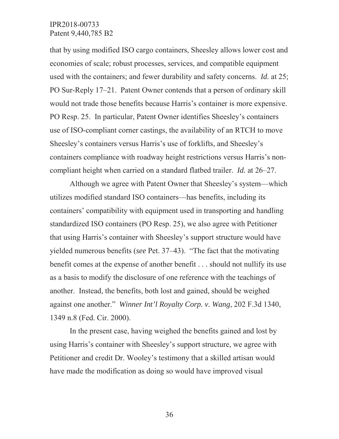that by using modified ISO cargo containers, Sheesley allows lower cost and economies of scale; robust processes, services, and compatible equipment used with the containers; and fewer durability and safety concerns. *Id.* at 25; PO Sur-Reply 17–21. Patent Owner contends that a person of ordinary skill would not trade those benefits because Harris's container is more expensive. PO Resp. 25. In particular, Patent Owner identifies Sheesley's containers use of ISO-compliant corner castings, the availability of an RTCH to move Sheesley's containers versus Harris's use of forklifts, and Sheesley's containers compliance with roadway height restrictions versus Harris's noncompliant height when carried on a standard flatbed trailer. *Id.* at 26–27.

Although we agree with Patent Owner that Sheesley's system—which utilizes modified standard ISO containers—has benefits, including its containers' compatibility with equipment used in transporting and handling standardized ISO containers (PO Resp. 25), we also agree with Petitioner that using Harris's container with Sheesley's support structure would have yielded numerous benefits (*see* Pet. 37–43). "The fact that the motivating benefit comes at the expense of another benefit . . . should not nullify its use as a basis to modify the disclosure of one reference with the teachings of another. Instead, the benefits, both lost and gained, should be weighed against one another." *Winner Int'l Royalty Corp. v. Wang*, 202 F.3d 1340, 1349 n.8 (Fed. Cir. 2000).

In the present case, having weighed the benefits gained and lost by using Harris's container with Sheesley's support structure, we agree with Petitioner and credit Dr. Wooley's testimony that a skilled artisan would have made the modification as doing so would have improved visual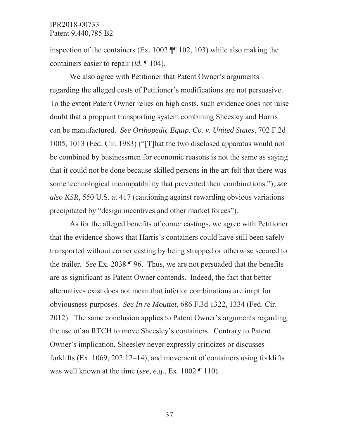inspection of the containers (Ex. 1002 ¶¶ 102, 103) while also making the containers easier to repair (*id.* ¶ 104).

We also agree with Petitioner that Patent Owner's arguments regarding the alleged costs of Petitioner's modifications are not persuasive. To the extent Patent Owner relies on high costs, such evidence does not raise doubt that a proppant transporting system combining Sheesley and Harris can be manufactured. *See Orthopedic Equip. Co. v. United States*, 702 F.2d 1005, 1013 (Fed. Cir. 1983) ("[T]hat the two disclosed apparatus would not be combined by businessmen for economic reasons is not the same as saying that it could not be done because skilled persons in the art felt that there was some technological incompatibility that prevented their combinations."); *see also KSR*, 550 U.S. at 417 (cautioning against rewarding obvious variations precipitated by "design incentives and other market forces").

As for the alleged benefits of corner castings, we agree with Petitioner that the evidence shows that Harris's containers could have still been safely transported without corner casting by being strapped or otherwise secured to the trailer. *See* Ex. 2038 ¶ 96. Thus, we are not persuaded that the benefits are as significant as Patent Owner contends. Indeed, the fact that better alternatives exist does not mean that inferior combinations are inapt for obviousness purposes. *See In re Mouttet*, 686 F.3d 1322, 1334 (Fed. Cir. 2012). The same conclusion applies to Patent Owner's arguments regarding the use of an RTCH to move Sheesley's containers. Contrary to Patent Owner's implication, Sheesley never expressly criticizes or discusses forklifts (Ex. 1069, 202:12–14), and movement of containers using forklifts was well known at the time (*see, e.g.*, Ex. 1002 ¶ 110).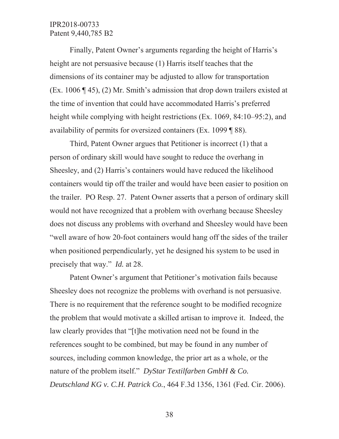Finally, Patent Owner's arguments regarding the height of Harris's height are not persuasive because (1) Harris itself teaches that the dimensions of its container may be adjusted to allow for transportation (Ex. 1006 ¶ 45), (2) Mr. Smith's admission that drop down trailers existed at the time of invention that could have accommodated Harris's preferred height while complying with height restrictions (Ex. 1069, 84:10–95:2), and availability of permits for oversized containers (Ex. 1099 ¶ 88).

Third, Patent Owner argues that Petitioner is incorrect (1) that a person of ordinary skill would have sought to reduce the overhang in Sheesley, and (2) Harris's containers would have reduced the likelihood containers would tip off the trailer and would have been easier to position on the trailer. PO Resp. 27. Patent Owner asserts that a person of ordinary skill would not have recognized that a problem with overhang because Sheesley does not discuss any problems with overhand and Sheesley would have been "well aware of how 20-foot containers would hang off the sides of the trailer when positioned perpendicularly, yet he designed his system to be used in precisely that way." *Id.* at 28.

Patent Owner's argument that Petitioner's motivation fails because Sheesley does not recognize the problems with overhand is not persuasive. There is no requirement that the reference sought to be modified recognize the problem that would motivate a skilled artisan to improve it. Indeed, the law clearly provides that "[t]he motivation need not be found in the references sought to be combined, but may be found in any number of sources, including common knowledge, the prior art as a whole, or the nature of the problem itself." *DyStar Textilfarben GmbH & Co. Deutschland KG v. C.H. Patrick Co.*, 464 F.3d 1356, 1361 (Fed. Cir. 2006).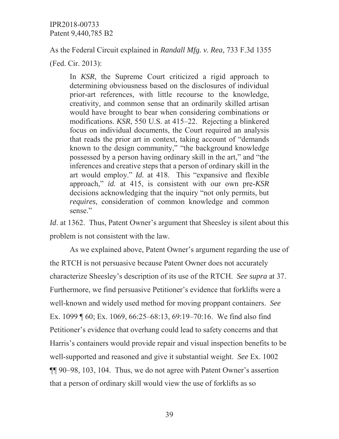# As the Federal Circuit explained in *Randall Mfg. v. Rea*, 733 F.3d 1355

(Fed. Cir. 2013):

In *KSR*, the Supreme Court criticized a rigid approach to determining obviousness based on the disclosures of individual prior-art references, with little recourse to the knowledge, creativity, and common sense that an ordinarily skilled artisan would have brought to bear when considering combinations or modifications. *KSR*, 550 U.S. at 415–22. Rejecting a blinkered focus on individual documents, the Court required an analysis that reads the prior art in context, taking account of "demands known to the design community," "the background knowledge possessed by a person having ordinary skill in the art," and "the inferences and creative steps that a person of ordinary skill in the art would employ." *Id.* at 418. This "expansive and flexible approach," *id.* at 415, is consistent with our own pre-*KSR* decisions acknowledging that the inquiry "not only permits, but *requires*, consideration of common knowledge and common sense."

*Id.* at 1362. Thus, Patent Owner's argument that Sheesley is silent about this problem is not consistent with the law.

As we explained above, Patent Owner's argument regarding the use of the RTCH is not persuasive because Patent Owner does not accurately characterize Sheesley's description of its use of the RTCH. *See supra* at 37. Furthermore, we find persuasive Petitioner's evidence that forklifts were a well-known and widely used method for moving proppant containers. *See*  Ex. 1099 ¶ 60; Ex. 1069, 66:25–68:13, 69:19–70:16. We find also find Petitioner's evidence that overhang could lead to safety concerns and that Harris's containers would provide repair and visual inspection benefits to be well-supported and reasoned and give it substantial weight. *See* Ex. 1002 ¶¶ 90–98, 103, 104. Thus, we do not agree with Patent Owner's assertion that a person of ordinary skill would view the use of forklifts as so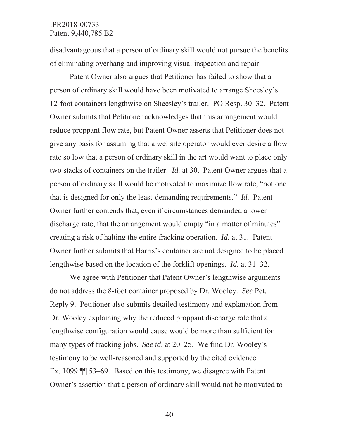disadvantageous that a person of ordinary skill would not pursue the benefits of eliminating overhang and improving visual inspection and repair.

Patent Owner also argues that Petitioner has failed to show that a person of ordinary skill would have been motivated to arrange Sheesley's 12-foot containers lengthwise on Sheesley's trailer. PO Resp. 30–32. Patent Owner submits that Petitioner acknowledges that this arrangement would reduce proppant flow rate, but Patent Owner asserts that Petitioner does not give any basis for assuming that a wellsite operator would ever desire a flow rate so low that a person of ordinary skill in the art would want to place only two stacks of containers on the trailer. *Id.* at 30. Patent Owner argues that a person of ordinary skill would be motivated to maximize flow rate, "not one that is designed for only the least-demanding requirements." *Id.* Patent Owner further contends that, even if circumstances demanded a lower discharge rate, that the arrangement would empty "in a matter of minutes" creating a risk of halting the entire fracking operation. *Id.* at 31. Patent Owner further submits that Harris's container are not designed to be placed lengthwise based on the location of the forklift openings. *Id.* at 31–32.

We agree with Petitioner that Patent Owner's lengthwise arguments do not address the 8-foot container proposed by Dr. Wooley. *See* Pet. Reply 9. Petitioner also submits detailed testimony and explanation from Dr. Wooley explaining why the reduced proppant discharge rate that a lengthwise configuration would cause would be more than sufficient for many types of fracking jobs. *See id*. at 20–25. We find Dr. Wooley's testimony to be well-reasoned and supported by the cited evidence. Ex. 1099 ¶¶ 53–69. Based on this testimony, we disagree with Patent Owner's assertion that a person of ordinary skill would not be motivated to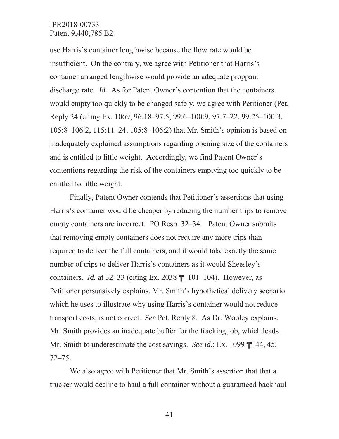use Harris's container lengthwise because the flow rate would be insufficient. On the contrary, we agree with Petitioner that Harris's container arranged lengthwise would provide an adequate proppant discharge rate. *Id.* As for Patent Owner's contention that the containers would empty too quickly to be changed safely, we agree with Petitioner (Pet. Reply 24 (citing Ex. 1069, 96:18–97:5, 99:6–100:9, 97:7–22, 99:25–100:3, 105:8–106:2, 115:11–24, 105:8–106:2) that Mr. Smith's opinion is based on inadequately explained assumptions regarding opening size of the containers and is entitled to little weight. Accordingly, we find Patent Owner's contentions regarding the risk of the containers emptying too quickly to be entitled to little weight.

Finally, Patent Owner contends that Petitioner's assertions that using Harris's container would be cheaper by reducing the number trips to remove empty containers are incorrect. PO Resp. 32–34. Patent Owner submits that removing empty containers does not require any more trips than required to deliver the full containers, and it would take exactly the same number of trips to deliver Harris's containers as it would Sheesley's containers. *Id.* at 32–33 (citing Ex. 2038 ¶¶ 101–104). However, as Petitioner persuasively explains, Mr. Smith's hypothetical delivery scenario which he uses to illustrate why using Harris's container would not reduce transport costs, is not correct. *See* Pet. Reply 8. As Dr. Wooley explains, Mr. Smith provides an inadequate buffer for the fracking job, which leads Mr. Smith to underestimate the cost savings. *See id.*; Ex. 1099 ¶¶ 44, 45, 72–75.

We also agree with Petitioner that Mr. Smith's assertion that that a trucker would decline to haul a full container without a guaranteed backhaul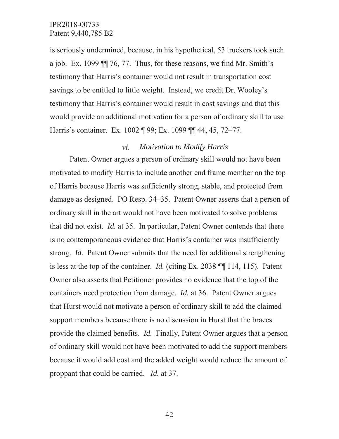is seriously undermined, because, in his hypothetical, 53 truckers took such a job. Ex. 1099 ¶¶ 76, 77. Thus, for these reasons, we find Mr. Smith's testimony that Harris's container would not result in transportation cost savings to be entitled to little weight. Instead, we credit Dr. Wooley's testimony that Harris's container would result in cost savings and that this would provide an additional motivation for a person of ordinary skill to use Harris's container. Ex. 1002 ¶ 99; Ex. 1099 ¶¶ 44, 45, 72–77.

### *Motivation to Modify Harris* νi.

Patent Owner argues a person of ordinary skill would not have been motivated to modify Harris to include another end frame member on the top of Harris because Harris was sufficiently strong, stable, and protected from damage as designed. PO Resp. 34–35. Patent Owner asserts that a person of ordinary skill in the art would not have been motivated to solve problems that did not exist. *Id.* at 35. In particular, Patent Owner contends that there is no contemporaneous evidence that Harris's container was insufficiently strong. *Id.* Patent Owner submits that the need for additional strengthening is less at the top of the container. *Id.* (citing Ex. 2038 ¶¶ 114, 115). Patent Owner also asserts that Petitioner provides no evidence that the top of the containers need protection from damage. *Id.* at 36. Patent Owner argues that Hurst would not motivate a person of ordinary skill to add the claimed support members because there is no discussion in Hurst that the braces provide the claimed benefits. *Id.* Finally, Patent Owner argues that a person of ordinary skill would not have been motivated to add the support members because it would add cost and the added weight would reduce the amount of proppant that could be carried. *Id.* at 37.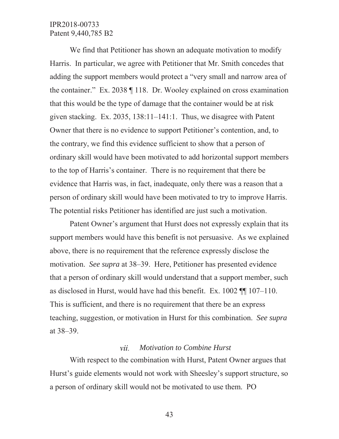We find that Petitioner has shown an adequate motivation to modify Harris. In particular, we agree with Petitioner that Mr. Smith concedes that adding the support members would protect a "very small and narrow area of the container." Ex. 2038 ¶ 118. Dr. Wooley explained on cross examination that this would be the type of damage that the container would be at risk given stacking. Ex. 2035, 138:11–141:1. Thus, we disagree with Patent Owner that there is no evidence to support Petitioner's contention, and, to the contrary, we find this evidence sufficient to show that a person of ordinary skill would have been motivated to add horizontal support members to the top of Harris's container. There is no requirement that there be evidence that Harris was, in fact, inadequate, only there was a reason that a person of ordinary skill would have been motivated to try to improve Harris. The potential risks Petitioner has identified are just such a motivation.

Patent Owner's argument that Hurst does not expressly explain that its support members would have this benefit is not persuasive. As we explained above, there is no requirement that the reference expressly disclose the motivation. *See supra* at 38–39. Here, Petitioner has presented evidence that a person of ordinary skill would understand that a support member, such as disclosed in Hurst, would have had this benefit. Ex. 1002 ¶¶ 107–110. This is sufficient, and there is no requirement that there be an express teaching, suggestion, or motivation in Hurst for this combination. *See supra*  at 38–39.

#### vii. *Motivation to Combine Hurst*

With respect to the combination with Hurst, Patent Owner argues that Hurst's guide elements would not work with Sheesley's support structure, so a person of ordinary skill would not be motivated to use them. PO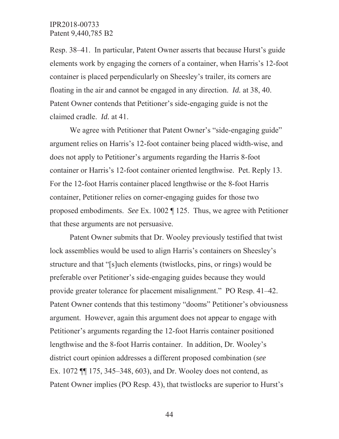Resp. 38–41. In particular, Patent Owner asserts that because Hurst's guide elements work by engaging the corners of a container, when Harris's 12-foot container is placed perpendicularly on Sheesley's trailer, its corners are floating in the air and cannot be engaged in any direction. *Id.* at 38, 40. Patent Owner contends that Petitioner's side-engaging guide is not the claimed cradle. *Id.* at 41.

We agree with Petitioner that Patent Owner's "side-engaging guide" argument relies on Harris's 12-foot container being placed width-wise, and does not apply to Petitioner's arguments regarding the Harris 8-foot container or Harris's 12-foot container oriented lengthwise. Pet. Reply 13. For the 12-foot Harris container placed lengthwise or the 8-foot Harris container, Petitioner relies on corner-engaging guides for those two proposed embodiments. *See* Ex. 1002 ¶ 125. Thus, we agree with Petitioner that these arguments are not persuasive.

Patent Owner submits that Dr. Wooley previously testified that twist lock assemblies would be used to align Harris's containers on Sheesley's structure and that "[s]uch elements (twistlocks, pins, or rings) would be preferable over Petitioner's side-engaging guides because they would provide greater tolerance for placement misalignment." PO Resp. 41–42. Patent Owner contends that this testimony "dooms" Petitioner's obviousness argument. However, again this argument does not appear to engage with Petitioner's arguments regarding the 12-foot Harris container positioned lengthwise and the 8-foot Harris container. In addition, Dr. Wooley's district court opinion addresses a different proposed combination (*see*  Ex. 1072 ¶¶ 175, 345–348, 603), and Dr. Wooley does not contend, as Patent Owner implies (PO Resp. 43), that twistlocks are superior to Hurst's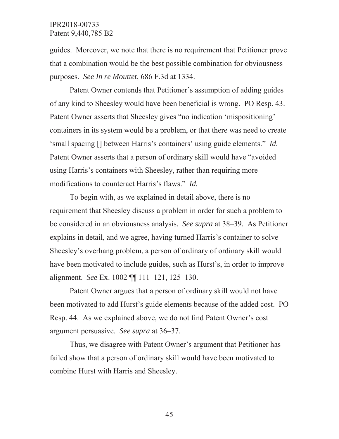guides. Moreover, we note that there is no requirement that Petitioner prove that a combination would be the best possible combination for obviousness purposes. *See In re Mouttet*, 686 F.3d at 1334.

Patent Owner contends that Petitioner's assumption of adding guides of any kind to Sheesley would have been beneficial is wrong. PO Resp. 43. Patent Owner asserts that Sheesley gives "no indication 'mispositioning' containers in its system would be a problem, or that there was need to create 'small spacing [] between Harris's containers' using guide elements." *Id.* Patent Owner asserts that a person of ordinary skill would have "avoided using Harris's containers with Sheesley, rather than requiring more modifications to counteract Harris's flaws." *Id.*

To begin with, as we explained in detail above, there is no requirement that Sheesley discuss a problem in order for such a problem to be considered in an obviousness analysis. *See supra* at 38–39. As Petitioner explains in detail, and we agree, having turned Harris's container to solve Sheesley's overhang problem, a person of ordinary of ordinary skill would have been motivated to include guides, such as Hurst's, in order to improve alignment. *See* Ex. 1002 ¶¶ 111–121, 125–130.

Patent Owner argues that a person of ordinary skill would not have been motivated to add Hurst's guide elements because of the added cost. PO Resp. 44. As we explained above, we do not find Patent Owner's cost argument persuasive. *See supra* at 36–37.

Thus, we disagree with Patent Owner's argument that Petitioner has failed show that a person of ordinary skill would have been motivated to combine Hurst with Harris and Sheesley.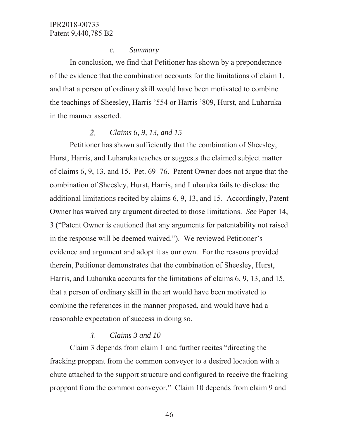### *c. Summary*

In conclusion, we find that Petitioner has shown by a preponderance of the evidence that the combination accounts for the limitations of claim 1, and that a person of ordinary skill would have been motivated to combine the teachings of Sheesley, Harris '554 or Harris '809, Hurst, and Luharuka in the manner asserted.

#### $\overline{2}$ . *Claims 6, 9, 13, and 15*

Petitioner has shown sufficiently that the combination of Sheesley, Hurst, Harris, and Luharuka teaches or suggests the claimed subject matter of claims 6, 9, 13, and 15. Pet. 69–76. Patent Owner does not argue that the combination of Sheesley, Hurst, Harris, and Luharuka fails to disclose the additional limitations recited by claims 6, 9, 13, and 15. Accordingly, Patent Owner has waived any argument directed to those limitations. *See* Paper 14, 3 ("Patent Owner is cautioned that any arguments for patentability not raised in the response will be deemed waived."). We reviewed Petitioner's evidence and argument and adopt it as our own. For the reasons provided therein, Petitioner demonstrates that the combination of Sheesley, Hurst, Harris, and Luharuka accounts for the limitations of claims 6, 9, 13, and 15, that a person of ordinary skill in the art would have been motivated to combine the references in the manner proposed, and would have had a reasonable expectation of success in doing so.

#### $\mathfrak{Z}$ *Claims 3 and 10*

Claim 3 depends from claim 1 and further recites "directing the fracking proppant from the common conveyor to a desired location with a chute attached to the support structure and configured to receive the fracking proppant from the common conveyor." Claim 10 depends from claim 9 and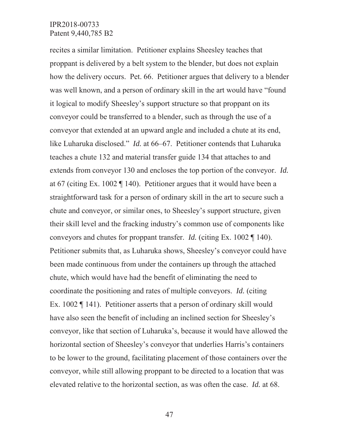recites a similar limitation. Petitioner explains Sheesley teaches that proppant is delivered by a belt system to the blender, but does not explain how the delivery occurs. Pet. 66. Petitioner argues that delivery to a blender was well known, and a person of ordinary skill in the art would have "found it logical to modify Sheesley's support structure so that proppant on its conveyor could be transferred to a blender, such as through the use of a conveyor that extended at an upward angle and included a chute at its end, like Luharuka disclosed." *Id.* at 66–67. Petitioner contends that Luharuka teaches a chute 132 and material transfer guide 134 that attaches to and extends from conveyor 130 and encloses the top portion of the conveyor. *Id.*  at 67 (citing Ex. 1002 ¶ 140). Petitioner argues that it would have been a straightforward task for a person of ordinary skill in the art to secure such a chute and conveyor, or similar ones, to Sheesley's support structure, given their skill level and the fracking industry's common use of components like conveyors and chutes for proppant transfer. *Id.* (citing Ex. 1002 ¶ 140). Petitioner submits that, as Luharuka shows, Sheesley's conveyor could have been made continuous from under the containers up through the attached chute, which would have had the benefit of eliminating the need to coordinate the positioning and rates of multiple conveyors. *Id.* (citing Ex. 1002 ¶ 141). Petitioner asserts that a person of ordinary skill would have also seen the benefit of including an inclined section for Sheesley's conveyor, like that section of Luharuka's, because it would have allowed the horizontal section of Sheesley's conveyor that underlies Harris's containers to be lower to the ground, facilitating placement of those containers over the conveyor, while still allowing proppant to be directed to a location that was elevated relative to the horizontal section, as was often the case. *Id.* at 68.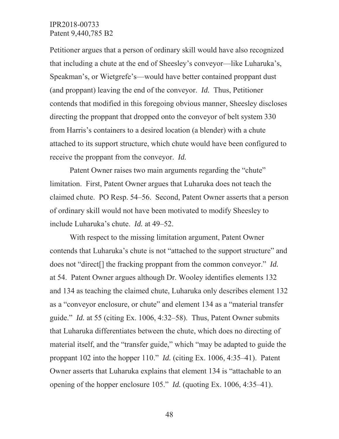Petitioner argues that a person of ordinary skill would have also recognized that including a chute at the end of Sheesley's conveyor—like Luharuka's, Speakman's, or Wietgrefe's—would have better contained proppant dust (and proppant) leaving the end of the conveyor. *Id.* Thus, Petitioner contends that modified in this foregoing obvious manner, Sheesley discloses directing the proppant that dropped onto the conveyor of belt system 330 from Harris's containers to a desired location (a blender) with a chute attached to its support structure, which chute would have been configured to receive the proppant from the conveyor. *Id.*

Patent Owner raises two main arguments regarding the "chute" limitation. First, Patent Owner argues that Luharuka does not teach the claimed chute. PO Resp. 54–56. Second, Patent Owner asserts that a person of ordinary skill would not have been motivated to modify Sheesley to include Luharuka's chute. *Id.* at 49–52.

With respect to the missing limitation argument, Patent Owner contends that Luharuka's chute is not "attached to the support structure" and does not "direct[] the fracking proppant from the common conveyor." *Id.*  at 54. Patent Owner argues although Dr. Wooley identifies elements 132 and 134 as teaching the claimed chute, Luharuka only describes element 132 as a "conveyor enclosure, or chute" and element 134 as a "material transfer guide." *Id.* at 55 (citing Ex. 1006, 4:32–58). Thus, Patent Owner submits that Luharuka differentiates between the chute, which does no directing of material itself, and the "transfer guide," which "may be adapted to guide the proppant 102 into the hopper 110." *Id.* (citing Ex. 1006, 4:35–41). Patent Owner asserts that Luharuka explains that element 134 is "attachable to an opening of the hopper enclosure 105." *Id.* (quoting Ex. 1006, 4:35–41).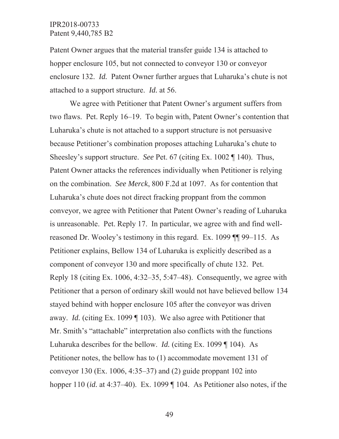Patent Owner argues that the material transfer guide 134 is attached to hopper enclosure 105, but not connected to conveyor 130 or conveyor enclosure 132. *Id.* Patent Owner further argues that Luharuka's chute is not attached to a support structure. *Id.* at 56.

We agree with Petitioner that Patent Owner's argument suffers from two flaws. Pet. Reply 16–19. To begin with, Patent Owner's contention that Luharuka's chute is not attached to a support structure is not persuasive because Petitioner's combination proposes attaching Luharuka's chute to Sheesley's support structure. *See* Pet. 67 (citing Ex. 1002 ¶ 140). Thus, Patent Owner attacks the references individually when Petitioner is relying on the combination. *See Merck*, 800 F.2d at 1097. As for contention that Luharuka's chute does not direct fracking proppant from the common conveyor, we agree with Petitioner that Patent Owner's reading of Luharuka is unreasonable. Pet. Reply 17. In particular, we agree with and find wellreasoned Dr. Wooley's testimony in this regard. Ex. 1099 ¶¶ 99–115. As Petitioner explains, Bellow 134 of Luharuka is explicitly described as a component of conveyor 130 and more specifically of chute 132. Pet. Reply 18 (citing Ex. 1006, 4:32–35, 5:47–48). Consequently, we agree with Petitioner that a person of ordinary skill would not have believed bellow 134 stayed behind with hopper enclosure 105 after the conveyor was driven away. *Id.* (citing Ex. 1099 ¶ 103). We also agree with Petitioner that Mr. Smith's "attachable" interpretation also conflicts with the functions Luharuka describes for the bellow. *Id.* (citing Ex. 1099 ¶ 104). As Petitioner notes, the bellow has to (1) accommodate movement 131 of conveyor 130 (Ex. 1006, 4:35–37) and (2) guide proppant 102 into hopper 110 (*id.* at 4:37–40). Ex. 1099 ¶ 104. As Petitioner also notes, if the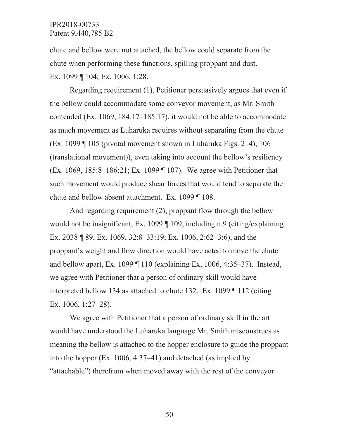chute and bellow were not attached, the bellow could separate from the chute when performing these functions, spilling proppant and dust. Ex. 1099 ¶ 104; Ex. 1006, 1:28.

Regarding requirement (1), Petitioner persuasively argues that even if the bellow could accommodate some conveyor movement, as Mr. Smith contended (Ex. 1069, 184:17–185:17), it would not be able to accommodate as much movement as Luharuka requires without separating from the chute (Ex. 1099 ¶ 105 (pivotal movement shown in Luharuka Figs. 2–4), 106 (translational movement)), even taking into account the bellow's resiliency (Ex. 1069, 185:8–186:21; Ex. 1099 ¶ 107). We agree with Petitioner that such movement would produce shear forces that would tend to separate the chute and bellow absent attachment. Ex. 1099 ¶ 108.

And regarding requirement (2), proppant flow through the bellow would not be insignificant, Ex. 1099 ¶ 109, including n.9 (citing/explaining Ex. 2038 ¶ 89, Ex. 1069, 32:8–33:19; Ex. 1006, 2:62–3:6), and the proppant's weight and flow direction would have acted to move the chute and bellow apart, Ex. 1099 ¶ 110 (explaining Ex, 1006, 4:35–37). Instead, we agree with Petitioner that a person of ordinary skill would have interpreted bellow 134 as attached to chute 132. Ex. 1099 ¶ 112 (citing Ex. 1006, 1:27–28).

We agree with Petitioner that a person of ordinary skill in the art would have understood the Luharuka language Mr. Smith misconstrues as meaning the bellow is attached to the hopper enclosure to guide the proppant into the hopper (Ex. 1006, 4:37–41) and detached (as implied by "attachable") therefrom when moved away with the rest of the conveyor.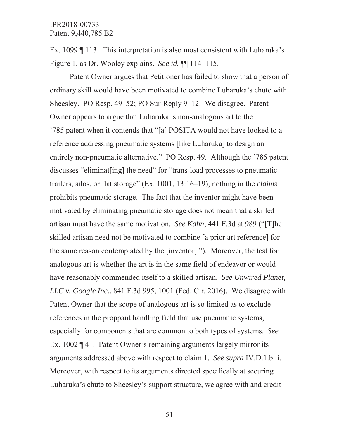Ex. 1099 ¶ 113. This interpretation is also most consistent with Luharuka's Figure 1, as Dr. Wooley explains. *See id.* ¶¶ 114–115.

Patent Owner argues that Petitioner has failed to show that a person of ordinary skill would have been motivated to combine Luharuka's chute with Sheesley. PO Resp. 49–52; PO Sur-Reply 9–12. We disagree. Patent Owner appears to argue that Luharuka is non-analogous art to the '785 patent when it contends that "[a] POSITA would not have looked to a reference addressing pneumatic systems [like Luharuka] to design an entirely non-pneumatic alternative." PO Resp. 49. Although the '785 patent discusses "eliminat [ing] the need" for "trans-load processes to pneumatic trailers, silos, or flat storage" (Ex. 1001, 13:16–19), nothing in the *claims*  prohibits pneumatic storage. The fact that the inventor might have been motivated by eliminating pneumatic storage does not mean that a skilled artisan must have the same motivation. *See Kahn*, 441 F.3d at 989 ("[T]he skilled artisan need not be motivated to combine [a prior art reference] for the same reason contemplated by the [inventor]."). Moreover, the test for analogous art is whether the art is in the same field of endeavor or would have reasonably commended itself to a skilled artisan. *See Unwired Planet, LLC v. Google Inc.*, 841 F.3d 995, 1001 (Fed. Cir. 2016). We disagree with Patent Owner that the scope of analogous art is so limited as to exclude references in the proppant handling field that use pneumatic systems, especially for components that are common to both types of systems. *See*  Ex. 1002 ¶ 41. Patent Owner's remaining arguments largely mirror its arguments addressed above with respect to claim 1. *See supra* IV.D.1.b.ii. Moreover, with respect to its arguments directed specifically at securing Luharuka's chute to Sheesley's support structure, we agree with and credit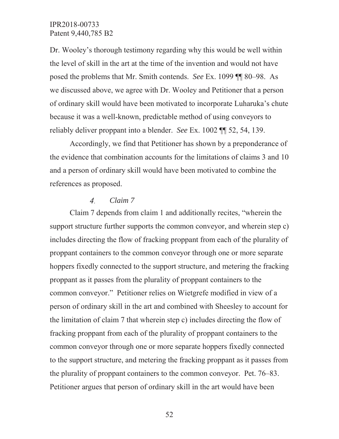Dr. Wooley's thorough testimony regarding why this would be well within the level of skill in the art at the time of the invention and would not have posed the problems that Mr. Smith contends. *See* Ex. 1099 ¶¶ 80–98. As we discussed above, we agree with Dr. Wooley and Petitioner that a person of ordinary skill would have been motivated to incorporate Luharuka's chute because it was a well-known, predictable method of using conveyors to reliably deliver proppant into a blender. *See* Ex. 1002 ¶¶ 52, 54, 139.

Accordingly, we find that Petitioner has shown by a preponderance of the evidence that combination accounts for the limitations of claims 3 and 10 and a person of ordinary skill would have been motivated to combine the references as proposed.

#### *Claim 7*  $\overline{4}$ .

Claim 7 depends from claim 1 and additionally recites, "wherein the support structure further supports the common conveyor, and wherein step c) includes directing the flow of fracking proppant from each of the plurality of proppant containers to the common conveyor through one or more separate hoppers fixedly connected to the support structure, and metering the fracking proppant as it passes from the plurality of proppant containers to the common conveyor." Petitioner relies on Wietgrefe modified in view of a person of ordinary skill in the art and combined with Sheesley to account for the limitation of claim 7 that wherein step c) includes directing the flow of fracking proppant from each of the plurality of proppant containers to the common conveyor through one or more separate hoppers fixedly connected to the support structure, and metering the fracking proppant as it passes from the plurality of proppant containers to the common conveyor. Pet. 76–83. Petitioner argues that person of ordinary skill in the art would have been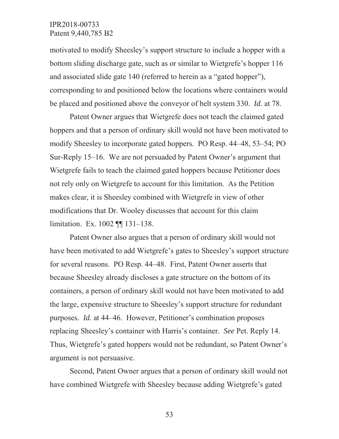motivated to modify Sheesley's support structure to include a hopper with a bottom sliding discharge gate, such as or similar to Wietgrefe's hopper 116 and associated slide gate 140 (referred to herein as a "gated hopper"), corresponding to and positioned below the locations where containers would be placed and positioned above the conveyor of belt system 330. *Id.* at 78.

Patent Owner argues that Wietgrefe does not teach the claimed gated hoppers and that a person of ordinary skill would not have been motivated to modify Sheesley to incorporate gated hoppers. PO Resp. 44–48, 53–54; PO Sur-Reply 15–16. We are not persuaded by Patent Owner's argument that Wietgrefe fails to teach the claimed gated hoppers because Petitioner does not rely only on Wietgrefe to account for this limitation. As the Petition makes clear, it is Sheesley combined with Wietgrefe in view of other modifications that Dr. Wooley discusses that account for this claim limitation. Ex. 1002 ¶¶ 131–138.

Patent Owner also argues that a person of ordinary skill would not have been motivated to add Wietgrefe's gates to Sheesley's support structure for several reasons. PO Resp. 44–48. First, Patent Owner asserts that because Sheesley already discloses a gate structure on the bottom of its containers, a person of ordinary skill would not have been motivated to add the large, expensive structure to Sheesley's support structure for redundant purposes. *Id.* at 44–46. However, Petitioner's combination proposes replacing Sheesley's container with Harris's container. *See* Pet. Reply 14. Thus, Wietgrefe's gated hoppers would not be redundant, so Patent Owner's argument is not persuasive.

Second, Patent Owner argues that a person of ordinary skill would not have combined Wietgrefe with Sheesley because adding Wietgrefe's gated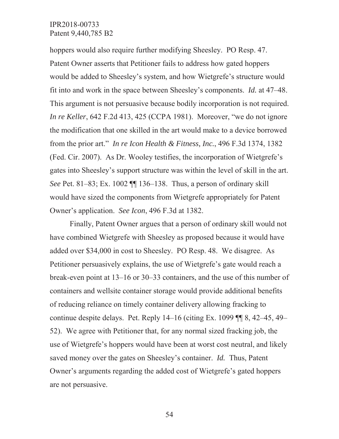hoppers would also require further modifying Sheesley. PO Resp. 47. Patent Owner asserts that Petitioner fails to address how gated hoppers would be added to Sheesley's system, and how Wietgrefe's structure would fit into and work in the space between Sheesley's components. *Id.* at 47–48. This argument is not persuasive because bodily incorporation is not required. *In re Keller*, 642 F.2d 413, 425 (CCPA 1981). Moreover, "we do not ignore the modification that one skilled in the art would make to a device borrowed from the prior art." *In re Icon Health & Fitness, Inc.*, 496 F.3d 1374, 1382 (Fed. Cir. 2007). As Dr. Wooley testifies, the incorporation of Wietgrefe's gates into Sheesley's support structure was within the level of skill in the art. *See* Pet. 81–83; Ex. 1002 ¶¶ 136–138. Thus, a person of ordinary skill would have sized the components from Wietgrefe appropriately for Patent Owner's application. *See Icon*, 496 F.3d at 1382.

Finally, Patent Owner argues that a person of ordinary skill would not have combined Wietgrefe with Sheesley as proposed because it would have added over \$34,000 in cost to Sheesley. PO Resp. 48. We disagree. As Petitioner persuasively explains, the use of Wietgrefe's gate would reach a break-even point at 13–16 or 30–33 containers, and the use of this number of containers and wellsite container storage would provide additional benefits of reducing reliance on timely container delivery allowing fracking to continue despite delays. Pet. Reply 14–16 (citing Ex. 1099 ¶¶ 8, 42–45, 49– 52). We agree with Petitioner that, for any normal sized fracking job, the use of Wietgrefe's hoppers would have been at worst cost neutral, and likely saved money over the gates on Sheesley's container. *Id.* Thus, Patent Owner's arguments regarding the added cost of Wietgrefe's gated hoppers are not persuasive.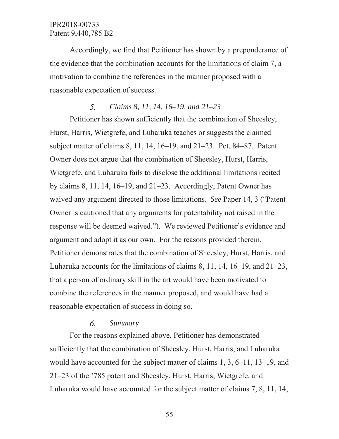Accordingly, we find that Petitioner has shown by a preponderance of the evidence that the combination accounts for the limitations of claim 7, a motivation to combine the references in the manner proposed with a reasonable expectation of success.

#### 5. *Claims 8, 11, 14, 16–19, and 21–23*

Petitioner has shown sufficiently that the combination of Sheesley, Hurst, Harris, Wietgrefe, and Luharuka teaches or suggests the claimed subject matter of claims 8, 11, 14, 16–19, and 21–23. Pet. 84–87. Patent Owner does not argue that the combination of Sheesley, Hurst, Harris, Wietgrefe, and Luharuka fails to disclose the additional limitations recited by claims 8, 11, 14, 16–19, and 21–23. Accordingly, Patent Owner has waived any argument directed to those limitations. *See* Paper 14, 3 ("Patent Owner is cautioned that any arguments for patentability not raised in the response will be deemed waived."). We reviewed Petitioner's evidence and argument and adopt it as our own. For the reasons provided therein, Petitioner demonstrates that the combination of Sheesley, Hurst, Harris, and Luharuka accounts for the limitations of claims 8, 11, 14, 16–19, and 21–23, that a person of ordinary skill in the art would have been motivated to combine the references in the manner proposed, and would have had a reasonable expectation of success in doing so.

#### 6. *Summary*

For the reasons explained above, Petitioner has demonstrated sufficiently that the combination of Sheesley, Hurst, Harris, and Luharuka would have accounted for the subject matter of claims 1, 3, 6–11, 13–19, and 21–23 of the '785 patent and Sheesley, Hurst, Harris, Wietgrefe, and Luharuka would have accounted for the subject matter of claims 7, 8, 11, 14,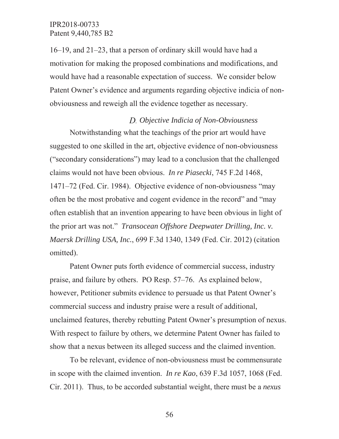16–19, and 21–23, that a person of ordinary skill would have had a motivation for making the proposed combinations and modifications, and would have had a reasonable expectation of success. We consider below Patent Owner's evidence and arguments regarding objective indicia of nonobviousness and reweigh all the evidence together as necessary.

# *Objective Indicia of Non-Obviousness*

Notwithstanding what the teachings of the prior art would have suggested to one skilled in the art, objective evidence of non-obviousness ("secondary considerations") may lead to a conclusion that the challenged claims would not have been obvious. *In re Piasecki*, 745 F.2d 1468, 1471–72 (Fed. Cir. 1984). Objective evidence of non-obviousness "may often be the most probative and cogent evidence in the record" and "may often establish that an invention appearing to have been obvious in light of the prior art was not." *Transocean Offshore Deepwater Drilling, Inc. v. Maersk Drilling USA, Inc.*, 699 F.3d 1340, 1349 (Fed. Cir. 2012) (citation omitted).

Patent Owner puts forth evidence of commercial success, industry praise, and failure by others. PO Resp. 57–76. As explained below, however, Petitioner submits evidence to persuade us that Patent Owner's commercial success and industry praise were a result of additional, unclaimed features, thereby rebutting Patent Owner's presumption of nexus. With respect to failure by others, we determine Patent Owner has failed to show that a nexus between its alleged success and the claimed invention.

To be relevant, evidence of non-obviousness must be commensurate in scope with the claimed invention. *In re Kao*, 639 F.3d 1057, 1068 (Fed. Cir. 2011). Thus, to be accorded substantial weight, there must be a *nexus*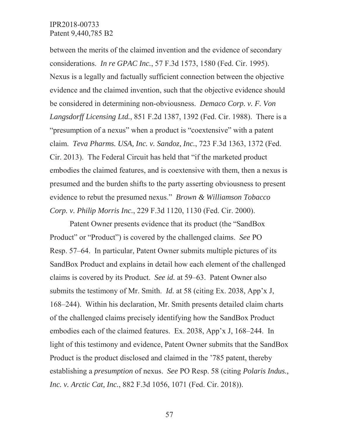between the merits of the claimed invention and the evidence of secondary considerations. *In re GPAC Inc.*, 57 F.3d 1573, 1580 (Fed. Cir. 1995). Nexus is a legally and factually sufficient connection between the objective evidence and the claimed invention, such that the objective evidence should be considered in determining non-obviousness. *Demaco Corp. v. F. Von Langsdorff Licensing Ltd.*, 851 F.2d 1387, 1392 (Fed. Cir. 1988). There is a "presumption of a nexus" when a product is "coextensive" with a patent claim. *Teva Pharms. USA, Inc. v. Sandoz, Inc.*, 723 F.3d 1363, 1372 (Fed. Cir. 2013). The Federal Circuit has held that "if the marketed product embodies the claimed features, and is coextensive with them, then a nexus is presumed and the burden shifts to the party asserting obviousness to present evidence to rebut the presumed nexus." *Brown & Williamson Tobacco Corp. v. Philip Morris Inc.*, 229 F.3d 1120, 1130 (Fed. Cir. 2000).

Patent Owner presents evidence that its product (the "SandBox Product" or "Product") is covered by the challenged claims. *See* PO Resp. 57–64. In particular, Patent Owner submits multiple pictures of its SandBox Product and explains in detail how each element of the challenged claims is covered by its Product. *See id.* at 59–63. Patent Owner also submits the testimony of Mr. Smith. *Id.* at 58 (citing Ex. 2038, App'x J, 168–244). Within his declaration, Mr. Smith presents detailed claim charts of the challenged claims precisely identifying how the SandBox Product embodies each of the claimed features. Ex. 2038, App'x J, 168–244. In light of this testimony and evidence, Patent Owner submits that the SandBox Product is the product disclosed and claimed in the '785 patent, thereby establishing a *presumption* of nexus. *See* PO Resp. 58 (citing *Polaris Indus., Inc. v. Arctic Cat, Inc.*, 882 F.3d 1056, 1071 (Fed. Cir. 2018)).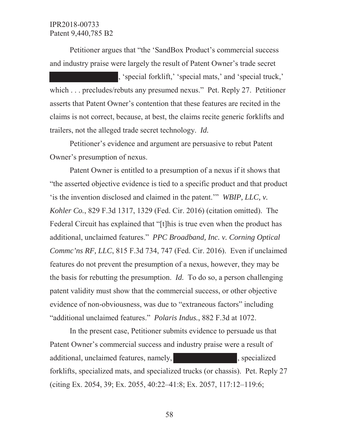Petitioner argues that "the 'SandBox Product's commercial success and industry praise were largely the result of Patent Owner's trade secret

, 'special forklift,' 'special mats,' and 'special truck,' which . . . precludes/rebuts any presumed nexus." Pet. Reply 27. Petitioner asserts that Patent Owner's contention that these features are recited in the claims is not correct, because, at best, the claims recite generic forklifts and trailers, not the alleged trade secret technology. *Id.* 

Petitioner's evidence and argument are persuasive to rebut Patent Owner's presumption of nexus.

Patent Owner is entitled to a presumption of a nexus if it shows that "the asserted objective evidence is tied to a specific product and that product 'is the invention disclosed and claimed in the patent.'" *WBIP, LLC, v. Kohler Co.*, 829 F.3d 1317, 1329 (Fed. Cir. 2016) (citation omitted). The Federal Circuit has explained that "[t]his is true even when the product has additional, unclaimed features." *PPC Broadband, Inc. v. Corning Optical Commc'ns RF, LLC*, 815 F.3d 734, 747 (Fed. Cir. 2016). Even if unclaimed features do not prevent the presumption of a nexus, however, they may be the basis for rebutting the presumption. *Id.* To do so, a person challenging patent validity must show that the commercial success, or other objective evidence of non-obviousness, was due to "extraneous factors" including "additional unclaimed features." *Polaris Indus.*, 882 F.3d at 1072.

In the present case, Petitioner submits evidence to persuade us that Patent Owner's commercial success and industry praise were a result of additional, unclaimed features, namely, and the specialized forklifts, specialized mats, and specialized trucks (or chassis). Pet. Reply 27 (citing Ex. 2054, 39; Ex. 2055, 40:22–41:8; Ex. 2057, 117:12–119:6;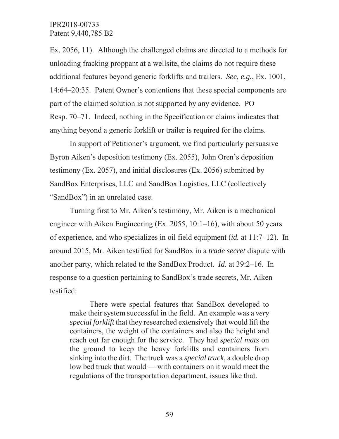Ex. 2056, 11). Although the challenged claims are directed to a methods for unloading fracking proppant at a wellsite, the claims do not require these additional features beyond generic forklifts and trailers. *See, e.g.*, Ex. 1001, 14:64–20:35. Patent Owner's contentions that these special components are part of the claimed solution is not supported by any evidence. PO Resp. 70–71. Indeed, nothing in the Specification or claims indicates that anything beyond a generic forklift or trailer is required for the claims.

In support of Petitioner's argument, we find particularly persuasive Byron Aiken's deposition testimony (Ex. 2055), John Oren's deposition testimony (Ex. 2057), and initial disclosures (Ex. 2056) submitted by SandBox Enterprises, LLC and SandBox Logistics, LLC (collectively "SandBox") in an unrelated case.

Turning first to Mr. Aiken's testimony, Mr. Aiken is a mechanical engineer with Aiken Engineering (Ex. 2055, 10:1–16), with about 50 years of experience, and who specializes in oil field equipment (*id.* at 11:7–12). In around 2015, Mr. Aiken testified for SandBox in a *trade secret* dispute with another party, which related to the SandBox Product. *Id.* at 39:2–16. In response to a question pertaining to SandBox's trade secrets, Mr. Aiken testified:

There were special features that SandBox developed to make their system successful in the field. An example was a *very special forklift* that they researched extensively that would lift the containers, the weight of the containers and also the height and reach out far enough for the service. They had *special mats* on the ground to keep the heavy forklifts and containers from sinking into the dirt. The truck was a *special truck*, a double drop low bed truck that would — with containers on it would meet the regulations of the transportation department, issues like that.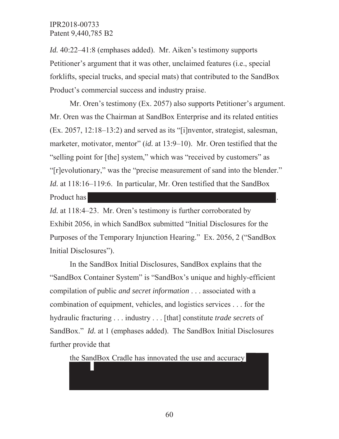*Id.* 40:22–41:8 (emphases added). Mr. Aiken's testimony supports Petitioner's argument that it was other, unclaimed features (i.e., special forklifts, special trucks, and special mats) that contributed to the SandBox Product's commercial success and industry praise.

Mr. Oren's testimony (Ex. 2057) also supports Petitioner's argument. Mr. Oren was the Chairman at SandBox Enterprise and its related entities (Ex. 2057, 12:18–13:2) and served as its "[i]nventor, strategist, salesman, marketer, motivator, mentor" *(id.* at 13:9–10). Mr. Oren testified that the "selling point for [the] system," which was "received by customers" as "[r]evolutionary," was the "precise measurement of sand into the blender." *Id.* at 118:16–119:6. In particular, Mr. Oren testified that the SandBox Product has

*Id.* at 118:4–23. Mr. Oren's testimony is further corroborated by Exhibit 2056, in which SandBox submitted "Initial Disclosures for the Purposes of the Temporary Injunction Hearing." Ex. 2056, 2 ("SandBox Initial Disclosures").

In the SandBox Initial Disclosures, SandBox explains that the "SandBox Container System" is "SandBox's unique and highly-efficient compilation of public *and secret information* . . . associated with a combination of equipment, vehicles, and logistics services . . . for the hydraulic fracturing . . . industry . . . [that] constitute *trade secrets* of SandBox." *Id.* at 1 (emphases added). The SandBox Initial Disclosures further provide that

the SandBox Cradle has innovated the use and accuracy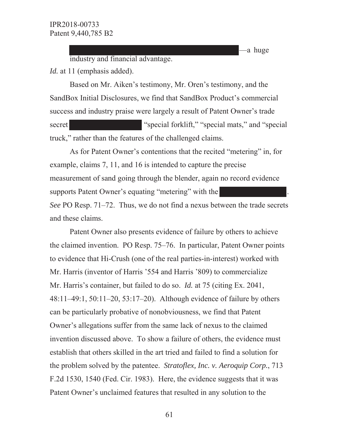—a huge

industry and financial advantage.

*Id.* at 11 (emphasis added).

Based on Mr. Aiken's testimony, Mr. Oren's testimony, and the SandBox Initial Disclosures, we find that SandBox Product's commercial success and industry praise were largely a result of Patent Owner's trade secret "special forklift," "special mats," and "special truck," rather than the features of the challenged claims.

As for Patent Owner's contentions that the recited "metering" in, for example, claims 7, 11, and 16 is intended to capture the precise measurement of sand going through the blender, again no record evidence supports Patent Owner's equating "metering" with the *See* PO Resp. 71–72. Thus, we do not find a nexus between the trade secrets

and these claims.

Patent Owner also presents evidence of failure by others to achieve the claimed invention. PO Resp. 75–76. In particular, Patent Owner points to evidence that Hi-Crush (one of the real parties-in-interest) worked with Mr. Harris (inventor of Harris '554 and Harris '809) to commercialize Mr. Harris's container, but failed to do so. *Id.* at 75 (citing Ex. 2041, 48:11–49:1, 50:11–20, 53:17–20). Although evidence of failure by others can be particularly probative of nonobviousness, we find that Patent Owner's allegations suffer from the same lack of nexus to the claimed invention discussed above. To show a failure of others, the evidence must establish that others skilled in the art tried and failed to find a solution for the problem solved by the patentee. *Stratoflex, Inc. v. Aeroquip Corp.*, 713 F.2d 1530, 1540 (Fed. Cir. 1983). Here, the evidence suggests that it was Patent Owner's unclaimed features that resulted in any solution to the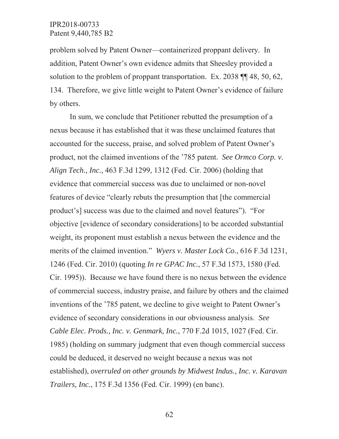problem solved by Patent Owner—containerized proppant delivery. In addition, Patent Owner's own evidence admits that Sheesley provided a solution to the problem of proppant transportation. Ex. 2038 ¶¶ 48, 50, 62, 134. Therefore, we give little weight to Patent Owner's evidence of failure by others.

In sum, we conclude that Petitioner rebutted the presumption of a nexus because it has established that it was these unclaimed features that accounted for the success, praise, and solved problem of Patent Owner's product, not the claimed inventions of the '785 patent. *See Ormco Corp. v. Align Tech., Inc.*, 463 F.3d 1299, 1312 (Fed. Cir. 2006) (holding that evidence that commercial success was due to unclaimed or non-novel features of device "clearly rebuts the presumption that [the commercial product's] success was due to the claimed and novel features"). "For objective [evidence of secondary considerations] to be accorded substantial weight, its proponent must establish a nexus between the evidence and the merits of the claimed invention." *Wyers v. Master Lock Co.*, 616 F.3d 1231, 1246 (Fed. Cir. 2010) (quoting *In re GPAC Inc.*, 57 F.3d 1573, 1580 (Fed. Cir. 1995)). Because we have found there is no nexus between the evidence of commercial success, industry praise, and failure by others and the claimed inventions of the '785 patent, we decline to give weight to Patent Owner's evidence of secondary considerations in our obviousness analysis. *See Cable Elec. Prods., Inc. v. Genmark, Inc.*, 770 F.2d 1015, 1027 (Fed. Cir. 1985) (holding on summary judgment that even though commercial success could be deduced, it deserved no weight because a nexus was not established), *overruled on other grounds by Midwest Indus., Inc. v. Karavan Trailers, Inc.*, 175 F.3d 1356 (Fed. Cir. 1999) (en banc).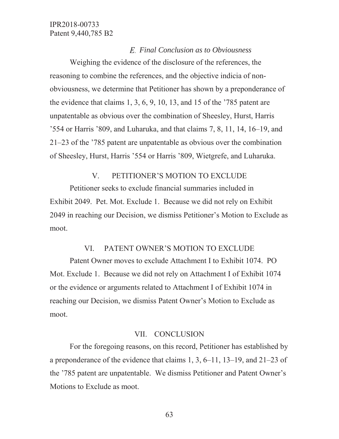### *Final Conclusion as to Obviousness*

Weighing the evidence of the disclosure of the references, the reasoning to combine the references, and the objective indicia of nonobviousness, we determine that Petitioner has shown by a preponderance of the evidence that claims 1, 3, 6, 9, 10, 13, and 15 of the '785 patent are unpatentable as obvious over the combination of Sheesley, Hurst, Harris '554 or Harris '809, and Luharuka, and that claims 7, 8, 11, 14, 16–19, and 21–23 of the '785 patent are unpatentable as obvious over the combination of Sheesley, Hurst, Harris '554 or Harris '809, Wietgrefe, and Luharuka.

### V. PETITIONER'S MOTION TO EXCLUDE

Petitioner seeks to exclude financial summaries included in Exhibit 2049. Pet. Mot. Exclude 1. Because we did not rely on Exhibit 2049 in reaching our Decision, we dismiss Petitioner's Motion to Exclude as moot.

## VI. PATENT OWNER'S MOTION TO EXCLUDE

Patent Owner moves to exclude Attachment I to Exhibit 1074. PO Mot. Exclude 1. Because we did not rely on Attachment I of Exhibit 1074 or the evidence or arguments related to Attachment I of Exhibit 1074 in reaching our Decision, we dismiss Patent Owner's Motion to Exclude as moot.

### VII. CONCLUSION

For the foregoing reasons, on this record, Petitioner has established by a preponderance of the evidence that claims 1, 3, 6–11, 13–19, and 21–23 of the '785 patent are unpatentable. We dismiss Petitioner and Patent Owner's Motions to Exclude as moot.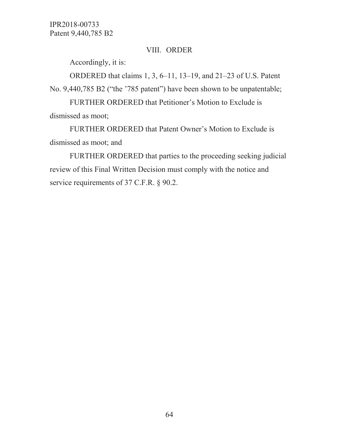## VIII. ORDER

Accordingly, it is:

ORDERED that claims 1, 3, 6–11, 13–19, and 21–23 of U.S. Patent No. 9,440,785 B2 ("the '785 patent") have been shown to be unpatentable;

FURTHER ORDERED that Petitioner's Motion to Exclude is dismissed as moot;

FURTHER ORDERED that Patent Owner's Motion to Exclude is dismissed as moot; and

FURTHER ORDERED that parties to the proceeding seeking judicial review of this Final Written Decision must comply with the notice and service requirements of 37 C.F.R. § 90.2.